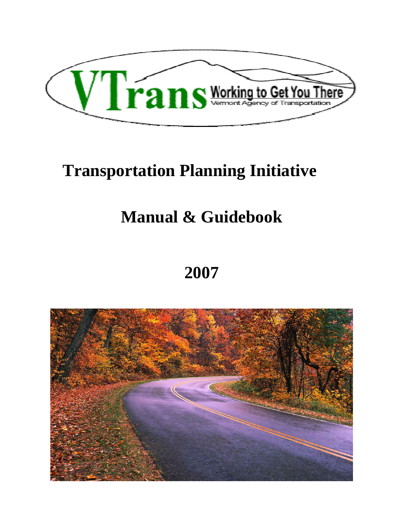

# **Transportation Planning Initiative**

# **Manual & Guidebook**

# **2007**

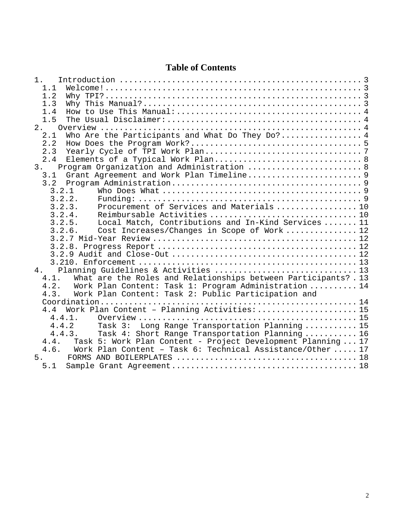## **Table of Contents**

| 1.                                                                      |  |  |
|-------------------------------------------------------------------------|--|--|
| 1.1                                                                     |  |  |
| 1.2                                                                     |  |  |
| 1.3                                                                     |  |  |
| 1.4                                                                     |  |  |
| 1.5                                                                     |  |  |
| 2.                                                                      |  |  |
| Who Are the Participants and What Do They Do? 4<br>2.1                  |  |  |
| 2.2                                                                     |  |  |
| 2.3                                                                     |  |  |
|                                                                         |  |  |
| 2.4<br>Elements of a Typical Work Plan 8                                |  |  |
| 3.<br>Program Organization and Administration  8                        |  |  |
| Grant Agreement and Work Plan Timeline 9<br>3.1                         |  |  |
|                                                                         |  |  |
| 3.2.1                                                                   |  |  |
| 3.2.2.                                                                  |  |  |
| Procurement of Services and Materials10<br>3.2.3.                       |  |  |
| 3.2.4.                                                                  |  |  |
| 3.2.5.<br>Local Match, Contributions and In-Kind Services  11           |  |  |
| Cost Increases/Changes in Scope of Work  12<br>3.2.6.                   |  |  |
|                                                                         |  |  |
|                                                                         |  |  |
|                                                                         |  |  |
|                                                                         |  |  |
| 4.                                                                      |  |  |
| What are the Roles and Relationships between Participants? . 13<br>4.1. |  |  |
| 4.2.<br>Work Plan Content: Task 1: Program Administration  14           |  |  |
| Work Plan Content: Task 2: Public Participation and<br>4.3.             |  |  |
|                                                                         |  |  |
| 4.4 Work Plan Content - Planning Activities:  15                        |  |  |
| 4.4.1.                                                                  |  |  |
|                                                                         |  |  |
| Task 3: Long Range Transportation Planning  15<br>4.4.2                 |  |  |
| Task 4: Short Range Transportation Planning  16<br>4.4.3.               |  |  |
| 4.4. Task 5: Work Plan Content - Project Development Planning  17       |  |  |
| 4.6. Work Plan Content - Task 6: Technical Assistance/Other  17         |  |  |
|                                                                         |  |  |
|                                                                         |  |  |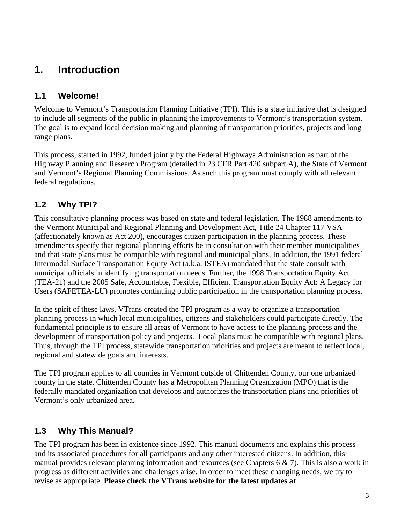## **1. Introduction**

## **1.1 Welcome!**

Welcome to Vermont's Transportation Planning Initiative (TPI). This is a state initiative that is designed to include all segments of the public in planning the improvements to Vermont's transportation system. The goal is to expand local decision making and planning of transportation priorities, projects and long range plans.

This process, started in 1992, funded jointly by the Federal Highways Administration as part of the Highway Planning and Research Program (detailed in 23 CFR Part 420 subpart A), the State of Vermont and Vermont's Regional Planning Commissions. As such this program must comply with all relevant federal regulations.

## **1.2 Why TPI?**

This consultative planning process was based on state and federal legislation. The 1988 amendments to the Vermont Municipal and Regional Planning and Development Act, Title 24 Chapter 117 VSA (affectionately known as Act 200), encourages citizen participation in the planning process. These amendments specify that regional planning efforts be in consultation with their member municipalities and that state plans must be compatible with regional and municipal plans. In addition, the 1991 federal Intermodal Surface Transportation Equity Act (a.k.a. ISTEA) mandated that the state consult with municipal officials in identifying transportation needs. Further, the 1998 Transportation Equity Act (TEA-21) and the 2005 Safe, Accountable, Flexible, Efficient Transportation Equity Act: A Legacy for Users (SAFETEA-LU) promotes continuing public participation in the transportation planning process.

In the spirit of these laws, VTrans created the TPI program as a way to organize a transportation planning process in which local municipalities, citizens and stakeholders could participate directly. The fundamental principle is to ensure all areas of Vermont to have access to the planning process and the development of transportation policy and projects. Local plans must be compatible with regional plans. Thus, through the TPI process, statewide transportation priorities and projects are meant to reflect local, regional and statewide goals and interests.

The TPI program applies to all counties in Vermont outside of Chittenden County, our one urbanized county in the state. Chittenden County has a Metropolitan Planning Organization (MPO) that is the federally mandated organization that develops and authorizes the transportation plans and priorities of Vermont's only urbanized area.

## **1.3 Why This Manual?**

The TPI program has been in existence since 1992. This manual documents and explains this process and its associated procedures for all participants and any other interested citizens. In addition, this manual provides relevant planning information and resources (see Chapters 6 & 7). This is also a work in progress as different activities and challenges arise. In order to meet these changing needs, we try to revise as appropriate. **Please check the VTrans website for the latest updates at**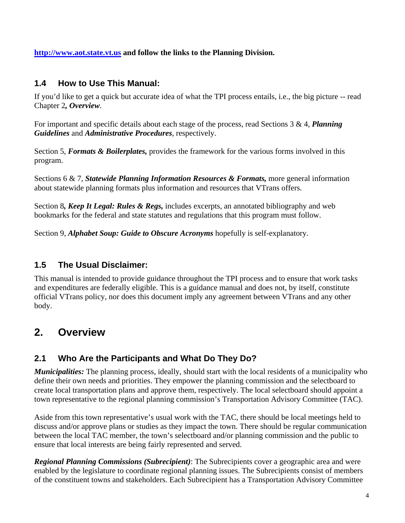**http://www.aot.state.vt.us and follow the links to the Planning Division.** 

## **1.4 How to Use This Manual:**

If you'd like to get a quick but accurate idea of what the TPI process entails, i.e., the big picture -- read Chapter 2*, Overview*.

For important and specific details about each stage of the process, read Sections 3 & 4, *Planning Guidelines* and *Administrative Procedures*, respectively.

Section 5, *Formats & Boilerplates,* provides the framework for the various forms involved in this program.

Sections 6 & 7, *Statewide Planning Information Resources & Formats,* more general information about statewide planning formats plus information and resources that VTrans offers.

Section 8*, Keep It Legal: Rules & Regs,* includes excerpts, an annotated bibliography and web bookmarks for the federal and state statutes and regulations that this program must follow.

Section 9, *Alphabet Soup: Guide to Obscure Acronyms* hopefully is self-explanatory.

## **1.5 The Usual Disclaimer:**

This manual is intended to provide guidance throughout the TPI process and to ensure that work tasks and expenditures are federally eligible. This is a guidance manual and does not, by itself, constitute official VTrans policy, nor does this document imply any agreement between VTrans and any other body.

## **2. Overview**

## **2.1 Who Are the Participants and What Do They Do?**

*Municipalities:* The planning process, ideally, should start with the local residents of a municipality who define their own needs and priorities. They empower the planning commission and the selectboard to create local transportation plans and approve them, respectively. The local selectboard should appoint a town representative to the regional planning commission's Transportation Advisory Committee (TAC).

Aside from this town representative's usual work with the TAC, there should be local meetings held to discuss and/or approve plans or studies as they impact the town. There should be regular communication between the local TAC member, the town's selectboard and/or planning commission and the public to ensure that local interests are being fairly represented and served.

*Regional Planning Commissions (Subrecipient)*: The Subrecipients cover a geographic area and were enabled by the legislature to coordinate regional planning issues. The Subrecipients consist of members of the constituent towns and stakeholders. Each Subrecipient has a Transportation Advisory Committee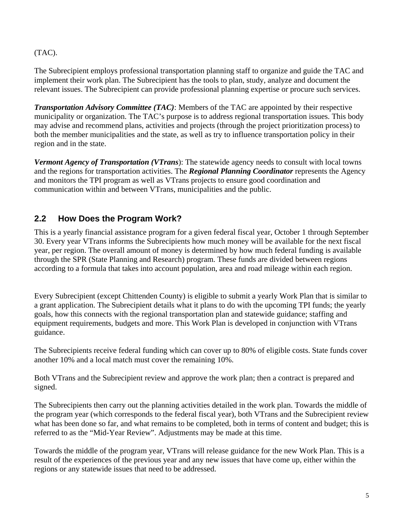## (TAC).

The Subrecipient employs professional transportation planning staff to organize and guide the TAC and implement their work plan. The Subrecipient has the tools to plan, study, analyze and document the relevant issues. The Subrecipient can provide professional planning expertise or procure such services.

*Transportation Advisory Committee (TAC)*: Members of the TAC are appointed by their respective municipality or organization. The TAC's purpose is to address regional transportation issues. This body may advise and recommend plans, activities and projects (through the project prioritization process) to both the member municipalities and the state, as well as try to influence transportation policy in their region and in the state.

*Vermont Agency of Transportation (VTrans*): The statewide agency needs to consult with local towns and the regions for transportation activities. The *Regional Planning Coordinator* represents the Agency and monitors the TPI program as well as VTrans projects to ensure good coordination and communication within and between VTrans, municipalities and the public.

## **2.2 How Does the Program Work?**

This is a yearly financial assistance program for a given federal fiscal year, October 1 through September 30. Every year VTrans informs the Subrecipients how much money will be available for the next fiscal year, per region. The overall amount of money is determined by how much federal funding is available through the SPR (State Planning and Research) program. These funds are divided between regions according to a formula that takes into account population, area and road mileage within each region.

Every Subrecipient (except Chittenden County) is eligible to submit a yearly Work Plan that is similar to a grant application. The Subrecipient details what it plans to do with the upcoming TPI funds; the yearly goals, how this connects with the regional transportation plan and statewide guidance; staffing and equipment requirements, budgets and more. This Work Plan is developed in conjunction with VTrans guidance.

The Subrecipients receive federal funding which can cover up to 80% of eligible costs. State funds cover another 10% and a local match must cover the remaining 10%.

Both VTrans and the Subrecipient review and approve the work plan; then a contract is prepared and signed.

The Subrecipients then carry out the planning activities detailed in the work plan. Towards the middle of the program year (which corresponds to the federal fiscal year), both VTrans and the Subrecipient review what has been done so far, and what remains to be completed, both in terms of content and budget; this is referred to as the "Mid-Year Review". Adjustments may be made at this time.

Towards the middle of the program year, VTrans will release guidance for the new Work Plan. This is a result of the experiences of the previous year and any new issues that have come up, either within the regions or any statewide issues that need to be addressed.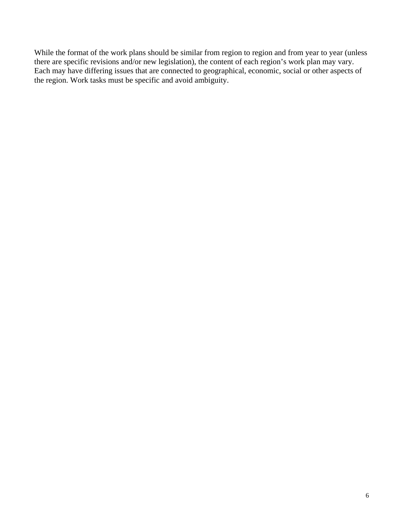While the format of the work plans should be similar from region to region and from year to year (unless there are specific revisions and/or new legislation), the content of each region's work plan may vary. Each may have differing issues that are connected to geographical, economic, social or other aspects of the region. Work tasks must be specific and avoid ambiguity.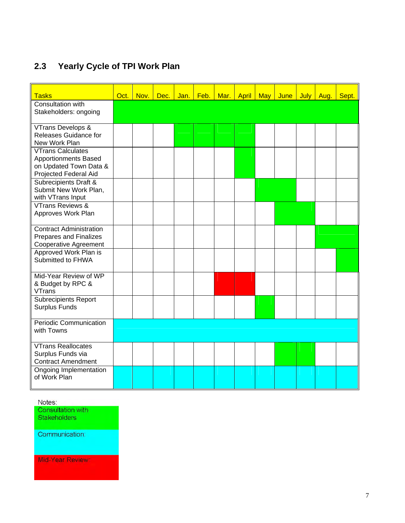## **2.3 Yearly Cycle of TPI Work Plan**

| <b>Tasks</b>                                                                                               | Oct. | Nov. | Dec. | Jan. | Feb. | Mar. | <b>April</b> May | June | July | Aug. | Sept. |
|------------------------------------------------------------------------------------------------------------|------|------|------|------|------|------|------------------|------|------|------|-------|
| <b>Consultation with</b><br>Stakeholders: ongoing                                                          |      |      |      |      |      |      |                  |      |      |      |       |
| VTrans Develops &<br>Releases Guidance for<br>New Work Plan                                                |      |      |      |      |      |      |                  |      |      |      |       |
| <b>VTrans Calculates</b><br><b>Apportionments Based</b><br>on Updated Town Data &<br>Projected Federal Aid |      |      |      |      |      |      |                  |      |      |      |       |
| <b>Subrecipients Draft &amp;</b><br>Submit New Work Plan,<br>with VTrans Input                             |      |      |      |      |      |      |                  |      |      |      |       |
| <b>VTrans Reviews &amp;</b><br>Approves Work Plan                                                          |      |      |      |      |      |      |                  |      |      |      |       |
| <b>Contract Administration</b><br>Prepares and Finalizes<br><b>Cooperative Agreement</b>                   |      |      |      |      |      |      |                  |      |      |      |       |
| Approved Work Plan is<br>Submitted to FHWA                                                                 |      |      |      |      |      |      |                  |      |      |      |       |
| Mid-Year Review of WP<br>& Budget by RPC &<br><b>VTrans</b>                                                |      |      |      |      |      |      |                  |      |      |      |       |
| <b>Subrecipients Report</b><br><b>Surplus Funds</b>                                                        |      |      |      |      |      |      |                  |      |      |      |       |
| <b>Periodic Communication</b><br>with Towns                                                                |      |      |      |      |      |      |                  |      |      |      |       |
| <b>VTrans Reallocates</b><br>Surplus Funds via<br><b>Contract Amendment</b>                                |      |      |      |      |      |      |                  |      |      |      |       |
| Ongoing Implementation<br>of Work Plan                                                                     |      |      |      |      |      |      |                  |      |      |      |       |

Notes:<br>Consultation with **Stakeholders** 

Communication:

Mid-Year Review: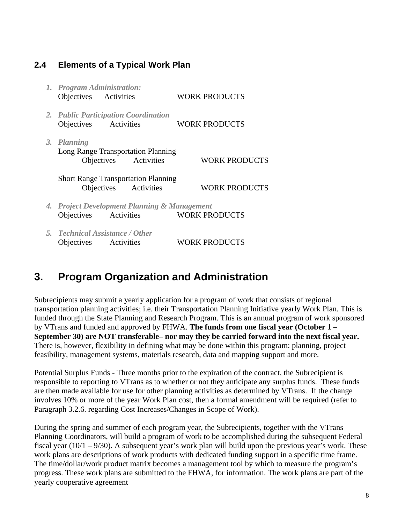## **2.4 Elements of a Typical Work Plan**

- *1. Program Administration:*  Objectives Activities WORK PRODUCTS
- *2. Public Participation Coordination*  Objectives Activities WORK PRODUCTS
- *3. Planning*  Long Range Transportation Planning Objectives Activities WORK PRODUCTS

Short Range Transportation Planning Objectives Activities WORK PRODUCTS

- *4. Project Development Planning & Management*  Objectives Activities WORK PRODUCTS
- *5. Technical Assistance / Other*  Objectives Activities WORK PRODUCTS

## **3. Program Organization and Administration**

Subrecipients may submit a yearly application for a program of work that consists of regional transportation planning activities; i.e. their Transportation Planning Initiative yearly Work Plan. This is funded through the State Planning and Research Program. This is an annual program of work sponsored by VTrans and funded and approved by FHWA. **The funds from one fiscal year (October 1 – September 30) are NOT transferable– nor may they be carried forward into the next fiscal year.**  There is, however, flexibility in defining what may be done within this program: planning, project feasibility, management systems, materials research, data and mapping support and more.

Potential Surplus Funds - Three months prior to the expiration of the contract, the Subrecipient is responsible to reporting to VTrans as to whether or not they anticipate any surplus funds. These funds are then made available for use for other planning activities as determined by VTrans. If the change involves 10% or more of the year Work Plan cost, then a formal amendment will be required (refer to Paragraph 3.2.6. regarding Cost Increases/Changes in Scope of Work).

During the spring and summer of each program year, the Subrecipients, together with the VTrans Planning Coordinators, will build a program of work to be accomplished during the subsequent Federal fiscal year  $(10/1 - 9/30)$ . A subsequent year's work plan will build upon the previous year's work. These work plans are descriptions of work products with dedicated funding support in a specific time frame. The time/dollar/work product matrix becomes a management tool by which to measure the program's progress. These work plans are submitted to the FHWA, for information. The work plans are part of the yearly cooperative agreement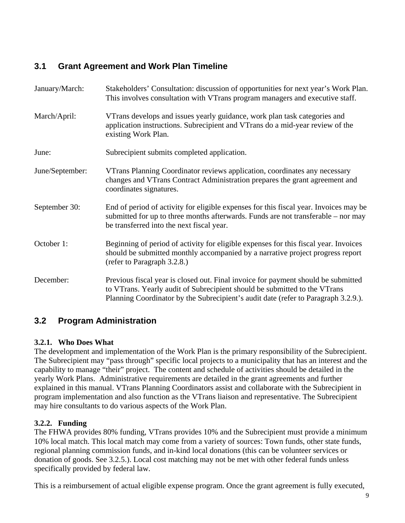## **3.1 Grant Agreement and Work Plan Timeline**

| January/March:  | Stakeholders' Consultation: discussion of opportunities for next year's Work Plan.<br>This involves consultation with VTrans program managers and executive staff.                                                                                   |
|-----------------|------------------------------------------------------------------------------------------------------------------------------------------------------------------------------------------------------------------------------------------------------|
| March/April:    | VTrans develops and issues yearly guidance, work plan task categories and<br>application instructions. Subrecipient and VTrans do a mid-year review of the<br>existing Work Plan.                                                                    |
| June:           | Subrecipient submits completed application.                                                                                                                                                                                                          |
| June/September: | VTrans Planning Coordinator reviews application, coordinates any necessary<br>changes and VTrans Contract Administration prepares the grant agreement and<br>coordinates signatures.                                                                 |
| September 30:   | End of period of activity for eligible expenses for this fiscal year. Invoices may be<br>submitted for up to three months afterwards. Funds are not transferable – nor may<br>be transferred into the next fiscal year.                              |
| October 1:      | Beginning of period of activity for eligible expenses for this fiscal year. Invoices<br>should be submitted monthly accompanied by a narrative project progress report<br>(refer to Paragraph 3.2.8.)                                                |
| December:       | Previous fiscal year is closed out. Final invoice for payment should be submitted<br>to VTrans. Yearly audit of Subrecipient should be submitted to the VTrans<br>Planning Coordinator by the Subrecipient's audit date (refer to Paragraph 3.2.9.). |

## **3.2 Program Administration**

## **3.2.1. Who Does What**

The development and implementation of the Work Plan is the primary responsibility of the Subrecipient. The Subrecipient may "pass through" specific local projects to a municipality that has an interest and the capability to manage "their" project. The content and schedule of activities should be detailed in the yearly Work Plans. Administrative requirements are detailed in the grant agreements and further explained in this manual. VTrans Planning Coordinators assist and collaborate with the Subrecipient in program implementation and also function as the VTrans liaison and representative. The Subrecipient may hire consultants to do various aspects of the Work Plan.

## **3.2.2. Funding**

The FHWA provides 80% funding, VTrans provides 10% and the Subrecipient must provide a minimum 10% local match. This local match may come from a variety of sources: Town funds, other state funds, regional planning commission funds, and in-kind local donations (this can be volunteer services or donation of goods. See 3.2.5.). Local cost matching may not be met with other federal funds unless specifically provided by federal law.

This is a reimbursement of actual eligible expense program. Once the grant agreement is fully executed,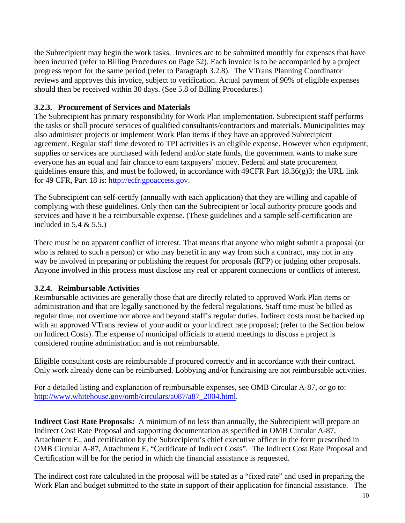the Subrecipient may begin the work tasks. Invoices are to be submitted monthly for expenses that have been incurred (refer to Billing Procedures on Page 52). Each invoice is to be accompanied by a project progress report for the same period (refer to Paragraph 3.2.8). The VTrans Planning Coordinator reviews and approves this invoice, subject to verification. Actual payment of 90% of eligible expenses should then be received within 30 days. (See 5.8 of Billing Procedures.)

## **3.2.3. Procurement of Services and Materials**

The Subrecipient has primary responsibility for Work Plan implementation. Subrecipient staff performs the tasks or shall procure services of qualified consultants/contractors and materials. Municipalities may also administer projects or implement Work Plan items if they have an approved Subrecipient agreement. Regular staff time devoted to TPI activities is an eligible expense. However when equipment, supplies or services are purchased with federal and/or state funds, the government wants to make sure everyone has an equal and fair chance to earn taxpayers' money. Federal and state procurement guidelines ensure this, and must be followed, in accordance with 49CFR Part  $18.36(g)$ 3; the URL link for 49 CFR, Part 18 is: http://ecfr.gpoaccess.gov.

The Subrecipient can self-certify (annually with each application) that they are willing and capable of complying with these guidelines. Only then can the Subrecipient or local authority procure goods and services and have it be a reimbursable expense. (These guidelines and a sample self-certification are included in  $5.4 \& 5.5$ .

There must be no apparent conflict of interest. That means that anyone who might submit a proposal (or who is related to such a person) or who may benefit in any way from such a contract, may not in any way be involved in preparing or publishing the request for proposals (RFP) or judging other proposals. Anyone involved in this process must disclose any real or apparent connections or conflicts of interest.

## **3.2.4. Reimbursable Activities**

Reimbursable activities are generally those that are directly related to approved Work Plan items or administration and that are legally sanctioned by the federal regulations. Staff time must be billed as regular time, not overtime nor above and beyond staff's regular duties. Indirect costs must be backed up with an approved VTrans review of your audit or your indirect rate proposal; (refer to the Section below on Indirect Costs). The expense of municipal officials to attend meetings to discuss a project is considered routine administration and is not reimbursable.

Eligible consultant costs are reimbursable if procured correctly and in accordance with their contract. Only work already done can be reimbursed. Lobbying and/or fundraising are not reimbursable activities.

For a detailed listing and explanation of reimbursable expenses, see OMB Circular A-87, or go to: http://www.whitehouse.gov/omb/circulars/a087/a87\_2004.html.

**Indirect Cost Rate Proposals:** A minimum of no less than annually, the Subrecipient will prepare an Indirect Cost Rate Proposal and supporting documentation as specified in OMB Circular A-87, Attachment E., and certification by the Subrecipient's chief executive officer in the form prescribed in OMB Circular A-87, Attachment E. "Certificate of Indirect Costs". The Indirect Cost Rate Proposal and Certification will be for the period in which the financial assistance is requested.

The indirect cost rate calculated in the proposal will be stated as a "fixed rate" and used in preparing the Work Plan and budget submitted to the state in support of their application for financial assistance. The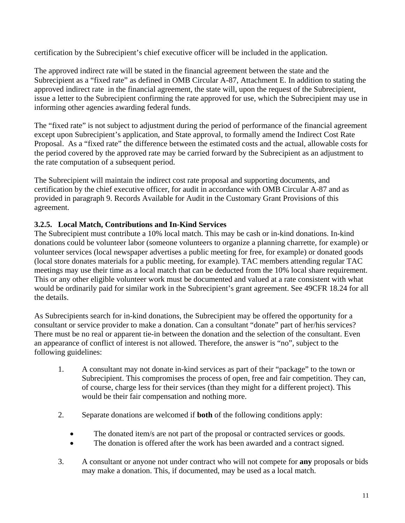certification by the Subrecipient's chief executive officer will be included in the application.

The approved indirect rate will be stated in the financial agreement between the state and the Subrecipient as a "fixed rate" as defined in OMB Circular A-87, Attachment E. In addition to stating the approved indirect rate in the financial agreement, the state will, upon the request of the Subrecipient, issue a letter to the Subrecipient confirming the rate approved for use, which the Subrecipient may use in informing other agencies awarding federal funds.

The "fixed rate" is not subject to adjustment during the period of performance of the financial agreement except upon Subrecipient's application, and State approval, to formally amend the Indirect Cost Rate Proposal. As a "fixed rate" the difference between the estimated costs and the actual, allowable costs for the period covered by the approved rate may be carried forward by the Subrecipient as an adjustment to the rate computation of a subsequent period.

The Subrecipient will maintain the indirect cost rate proposal and supporting documents, and certification by the chief executive officer, for audit in accordance with OMB Circular A-87 and as provided in paragraph 9. Records Available for Audit in the Customary Grant Provisions of this agreement.

## **3.2.5. Local Match, Contributions and In-Kind Services**

The Subrecipient must contribute a 10% local match. This may be cash or in-kind donations. In-kind donations could be volunteer labor (someone volunteers to organize a planning charrette, for example) or volunteer services (local newspaper advertises a public meeting for free, for example) or donated goods (local store donates materials for a public meeting, for example). TAC members attending regular TAC meetings may use their time as a local match that can be deducted from the 10% local share requirement. This or any other eligible volunteer work must be documented and valued at a rate consistent with what would be ordinarily paid for similar work in the Subrecipient's grant agreement. See 49CFR 18.24 for all the details.

As Subrecipients search for in-kind donations, the Subrecipient may be offered the opportunity for a consultant or service provider to make a donation. Can a consultant "donate" part of her/his services? There must be no real or apparent tie-in between the donation and the selection of the consultant. Even an appearance of conflict of interest is not allowed. Therefore, the answer is "no", subject to the following guidelines:

- 1. A consultant may not donate in-kind services as part of their "package" to the town or Subrecipient. This compromises the process of open, free and fair competition. They can, of course, charge less for their services (than they might for a different project). This would be their fair compensation and nothing more.
- 2. Separate donations are welcomed if **both** of the following conditions apply:
	- The donated item/s are not part of the proposal or contracted services or goods.
	- The donation is offered after the work has been awarded and a contract signed.
- 3. A consultant or anyone not under contract who will not compete for **any** proposals or bids may make a donation. This, if documented, may be used as a local match.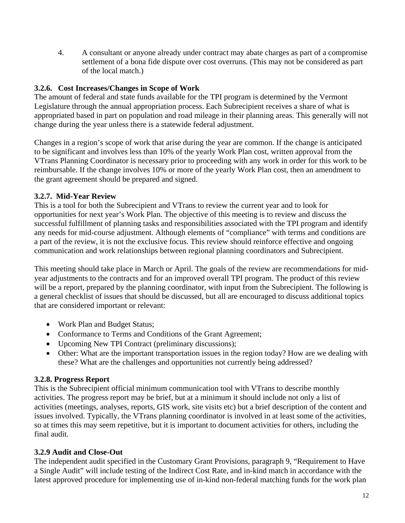4. A consultant or anyone already under contract may abate charges as part of a compromise settlement of a bona fide dispute over cost overruns. (This may not be considered as part of the local match.)

## **3.2.6. Cost Increases/Changes in Scope of Work**

The amount of federal and state funds available for the TPI program is determined by the Vermont Legislature through the annual appropriation process. Each Subrecipient receives a share of what is appropriated based in part on population and road mileage in their planning areas. This generally will not change during the year unless there is a statewide federal adjustment.

Changes in a region's scope of work that arise during the year are common. If the change is anticipated to be significant and involves less than 10% of the yearly Work Plan cost, written approval from the VTrans Planning Coordinator is necessary prior to proceeding with any work in order for this work to be reimbursable. If the change involves 10% or more of the yearly Work Plan cost, then an amendment to the grant agreement should be prepared and signed.

## **3.2.7. Mid-Year Review**

This is a tool for both the Subrecipient and VTrans to review the current year and to look for opportunities for next year's Work Plan. The objective of this meeting is to review and discuss the successful fulfillment of planning tasks and responsibilities associated with the TPI program and identify any needs for mid-course adjustment. Although elements of "compliance" with terms and conditions are a part of the review, it is not the exclusive focus. This review should reinforce effective and ongoing communication and work relationships between regional planning coordinators and Subrecipient.

This meeting should take place in March or April. The goals of the review are recommendations for midyear adjustments to the contracts and for an improved overall TPI program. The product of this review will be a report, prepared by the planning coordinator, with input from the Subrecipient. The following is a general checklist of issues that should be discussed, but all are encouraged to discuss additional topics that are considered important or relevant:

- Work Plan and Budget Status;
- Conformance to Terms and Conditions of the Grant Agreement;
- Upcoming New TPI Contract (preliminary discussions);
- Other: What are the important transportation issues in the region today? How are we dealing with these? What are the challenges and opportunities not currently being addressed?

## **3.2.8. Progress Report**

This is the Subrecipient official minimum communication tool with VTrans to describe monthly activities. The progress report may be brief, but at a minimum it should include not only a list of activities (meetings, analyses, reports, GIS work, site visits etc) but a brief description of the content and issues involved. Typically, the VTrans planning coordinator is involved in at least some of the activities, so at times this may seem repetitive, but it is important to document activities for others, including the final audit.

## **3.2.9 Audit and Close-Out**

The independent audit specified in the Customary Grant Provisions, paragraph 9, "Requirement to Have a Single Audit" will include testing of the Indirect Cost Rate, and in-kind match in accordance with the latest approved procedure for implementing use of in-kind non-federal matching funds for the work plan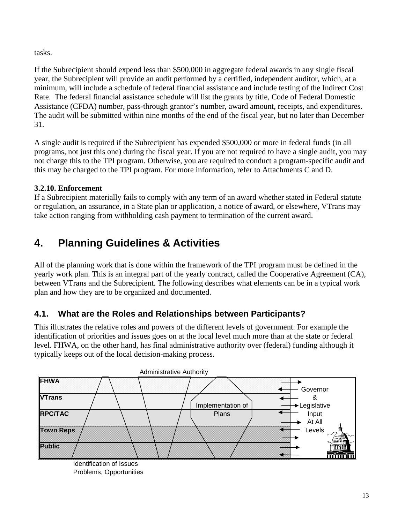tasks.

If the Subrecipient should expend less than \$500,000 in aggregate federal awards in any single fiscal year, the Subrecipient will provide an audit performed by a certified, independent auditor, which, at a minimum, will include a schedule of federal financial assistance and include testing of the Indirect Cost Rate. The federal financial assistance schedule will list the grants by title, Code of Federal Domestic Assistance (CFDA) number, pass-through grantor's number, award amount, receipts, and expenditures. The audit will be submitted within nine months of the end of the fiscal year, but no later than December 31.

A single audit is required if the Subrecipient has expended \$500,000 or more in federal funds (in all programs, not just this one) during the fiscal year. If you are not required to have a single audit, you may not charge this to the TPI program. Otherwise, you are required to conduct a program-specific audit and this may be charged to the TPI program. For more information, refer to Attachments C and D.

## **3.2.10. Enforcement**

If a Subrecipient materially fails to comply with any term of an award whether stated in Federal statute or regulation, an assurance, in a State plan or application, a notice of award, or elsewhere, VTrans may take action ranging from withholding cash payment to termination of the current award.

## **4. Planning Guidelines & Activities**

All of the planning work that is done within the framework of the TPI program must be defined in the yearly work plan. This is an integral part of the yearly contract, called the Cooperative Agreement (CA), between VTrans and the Subrecipient. The following describes what elements can be in a typical work plan and how they are to be organized and documented.

## **4.1. What are the Roles and Relationships between Participants?**

This illustrates the relative roles and powers of the different levels of government. For example the identification of priorities and issues goes on at the local level much more than at the state or federal level. FHWA, on the other hand, has final administrative authority over (federal) funding although it typically keeps out of the local decision-making process.

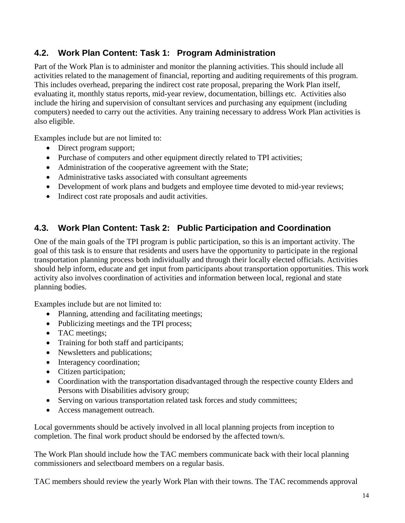## **4.2. Work Plan Content: Task 1: Program Administration**

Part of the Work Plan is to administer and monitor the planning activities. This should include all activities related to the management of financial, reporting and auditing requirements of this program. This includes overhead, preparing the indirect cost rate proposal, preparing the Work Plan itself, evaluating it, monthly status reports, mid-year review, documentation, billings etc. Activities also include the hiring and supervision of consultant services and purchasing any equipment (including computers) needed to carry out the activities. Any training necessary to address Work Plan activities is also eligible.

Examples include but are not limited to:

- Direct program support;
- Purchase of computers and other equipment directly related to TPI activities;
- Administration of the cooperative agreement with the State;
- Administrative tasks associated with consultant agreements
- Development of work plans and budgets and employee time devoted to mid-year reviews;
- Indirect cost rate proposals and audit activities.

## **4.3. Work Plan Content: Task 2: Public Participation and Coordination**

One of the main goals of the TPI program is public participation, so this is an important activity. The goal of this task is to ensure that residents and users have the opportunity to participate in the regional transportation planning process both individually and through their locally elected officials. Activities should help inform, educate and get input from participants about transportation opportunities. This work activity also involves coordination of activities and information between local, regional and state planning bodies.

Examples include but are not limited to:

- Planning, attending and facilitating meetings;
- Publicizing meetings and the TPI process;
- TAC meetings;
- Training for both staff and participants;
- Newsletters and publications;
- Interagency coordination;
- Citizen participation;
- Coordination with the transportation disadvantaged through the respective county Elders and Persons with Disabilities advisory group;
- Serving on various transportation related task forces and study committees;
- Access management outreach.

Local governments should be actively involved in all local planning projects from inception to completion. The final work product should be endorsed by the affected town/s.

The Work Plan should include how the TAC members communicate back with their local planning commissioners and selectboard members on a regular basis.

TAC members should review the yearly Work Plan with their towns. The TAC recommends approval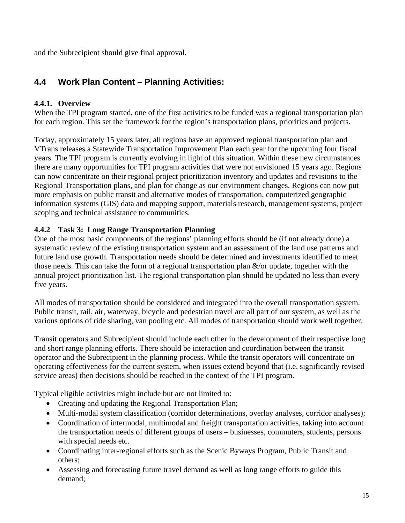and the Subrecipient should give final approval.

## **4.4 Work Plan Content – Planning Activities:**

## **4.4.1. Overview**

When the TPI program started, one of the first activities to be funded was a regional transportation plan for each region. This set the framework for the region's transportation plans, priorities and projects.

Today, approximately 15 years later, all regions have an approved regional transportation plan and VTrans releases a Statewide Transportation Improvement Plan each year for the upcoming four fiscal years. The TPI program is currently evolving in light of this situation. Within these new circumstances there are many opportunities for TPI program activities that were not envisioned 15 years ago. Regions can now concentrate on their regional project prioritization inventory and updates and revisions to the Regional Transportation plans, and plan for change as our environment changes. Regions can now put more emphasis on public transit and alternative modes of transportation, computerized geographic information systems (GIS) data and mapping support, materials research, management systems, project scoping and technical assistance to communities.

## **4.4.2 Task 3: Long Range Transportation Planning**

One of the most basic components of the regions' planning efforts should be (if not already done) a systematic review of the existing transportation system and an assessment of the land use patterns and future land use growth. Transportation needs should be determined and investments identified to meet those needs. This can take the form of a regional transportation plan &/or update, together with the annual project prioritization list. The regional transportation plan should be updated no less than every five years.

All modes of transportation should be considered and integrated into the overall transportation system. Public transit, rail, air, waterway, bicycle and pedestrian travel are all part of our system, as well as the various options of ride sharing, van pooling etc. All modes of transportation should work well together.

Transit operators and Subrecipient should include each other in the development of their respective long and short range planning efforts. There should be interaction and coordination between the transit operator and the Subrecipient in the planning process. While the transit operators will concentrate on operating effectiveness for the current system, when issues extend beyond that (i.e. significantly revised service areas) then decisions should be reached in the context of the TPI program.

Typical eligible activities might include but are not limited to:

- Creating and updating the Regional Transportation Plan;
- Multi-modal system classification (corridor determinations, overlay analyses, corridor analyses);
- Coordination of intermodal, multimodal and freight transportation activities, taking into account the transportation needs of different groups of users – businesses, commuters, students, persons with special needs etc.
- Coordinating inter-regional efforts such as the Scenic Byways Program, Public Transit and others;
- Assessing and forecasting future travel demand as well as long range efforts to guide this demand;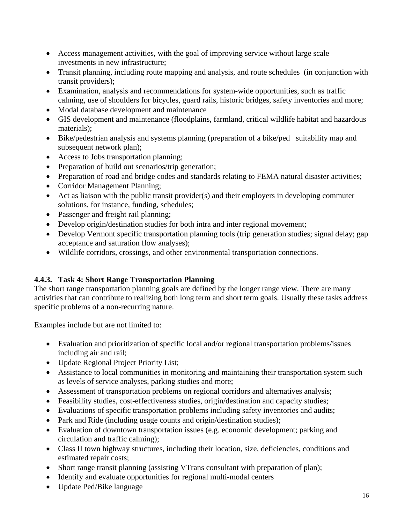- Access management activities, with the goal of improving service without large scale investments in new infrastructure;
- Transit planning, including route mapping and analysis, and route schedules (in conjunction with transit providers);
- Examination, analysis and recommendations for system-wide opportunities, such as traffic calming, use of shoulders for bicycles, guard rails, historic bridges, safety inventories and more;
- Modal database development and maintenance
- GIS development and maintenance (floodplains, farmland, critical wildlife habitat and hazardous materials);
- Bike/pedestrian analysis and systems planning (preparation of a bike/ped suitability map and subsequent network plan);
- Access to Jobs transportation planning;
- Preparation of build out scenarios/trip generation;
- Preparation of road and bridge codes and standards relating to FEMA natural disaster activities;
- Corridor Management Planning;
- Act as liaison with the public transit provider(s) and their employers in developing commuter solutions, for instance, funding, schedules;
- Passenger and freight rail planning;
- Develop origin/destination studies for both intra and inter regional movement;
- Develop Vermont specific transportation planning tools (trip generation studies; signal delay; gap acceptance and saturation flow analyses);
- Wildlife corridors, crossings, and other environmental transportation connections.

## **4.4.3. Task 4: Short Range Transportation Planning**

The short range transportation planning goals are defined by the longer range view. There are many activities that can contribute to realizing both long term and short term goals. Usually these tasks address specific problems of a non-recurring nature.

Examples include but are not limited to:

- Evaluation and prioritization of specific local and/or regional transportation problems/issues including air and rail;
- Update Regional Project Priority List;
- Assistance to local communities in monitoring and maintaining their transportation system such as levels of service analyses, parking studies and more;
- Assessment of transportation problems on regional corridors and alternatives analysis;
- Feasibility studies, cost-effectiveness studies, origin/destination and capacity studies;
- Evaluations of specific transportation problems including safety inventories and audits;
- Park and Ride (including usage counts and origin/destination studies);
- Evaluation of downtown transportation issues (e.g. economic development; parking and circulation and traffic calming);
- Class II town highway structures, including their location, size, deficiencies, conditions and estimated repair costs;
- Short range transit planning (assisting VTrans consultant with preparation of plan);
- Identify and evaluate opportunities for regional multi-modal centers
- Update Ped/Bike language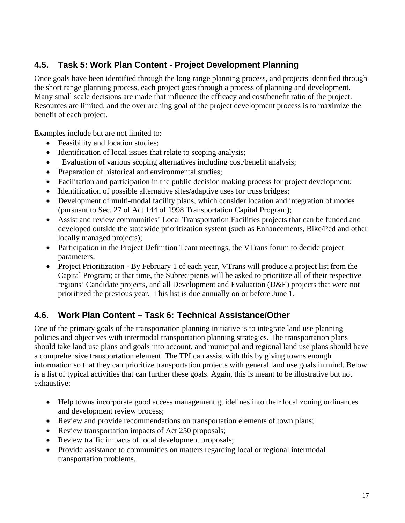## **4.5. Task 5: Work Plan Content - Project Development Planning**

Once goals have been identified through the long range planning process, and projects identified through the short range planning process, each project goes through a process of planning and development. Many small scale decisions are made that influence the efficacy and cost/benefit ratio of the project. Resources are limited, and the over arching goal of the project development process is to maximize the benefit of each project.

Examples include but are not limited to:

- Feasibility and location studies;
- Identification of local issues that relate to scoping analysis;
- Evaluation of various scoping alternatives including cost/benefit analysis;
- Preparation of historical and environmental studies;
- Facilitation and participation in the public decision making process for project development;
- Identification of possible alternative sites/adaptive uses for truss bridges;
- Development of multi-modal facility plans, which consider location and integration of modes (pursuant to Sec. 27 of Act 144 of 1998 Transportation Capital Program);
- Assist and review communities' Local Transportation Facilities projects that can be funded and developed outside the statewide prioritization system (such as Enhancements, Bike/Ped and other locally managed projects);
- Participation in the Project Definition Team meetings, the VTrans forum to decide project parameters;
- Project Prioritization By February 1 of each year, VTrans will produce a project list from the Capital Program; at that time, the Subrecipients will be asked to prioritize all of their respective regions' Candidate projects, and all Development and Evaluation (D&E) projects that were not prioritized the previous year. This list is due annually on or before June 1.

## **4.6. Work Plan Content – Task 6: Technical Assistance/Other**

One of the primary goals of the transportation planning initiative is to integrate land use planning policies and objectives with intermodal transportation planning strategies. The transportation plans should take land use plans and goals into account, and municipal and regional land use plans should have a comprehensive transportation element. The TPI can assist with this by giving towns enough information so that they can prioritize transportation projects with general land use goals in mind. Below is a list of typical activities that can further these goals. Again, this is meant to be illustrative but not exhaustive:

- Help towns incorporate good access management guidelines into their local zoning ordinances and development review process;
- Review and provide recommendations on transportation elements of town plans;
- Review transportation impacts of Act 250 proposals;
- Review traffic impacts of local development proposals;
- Provide assistance to communities on matters regarding local or regional intermodal transportation problems.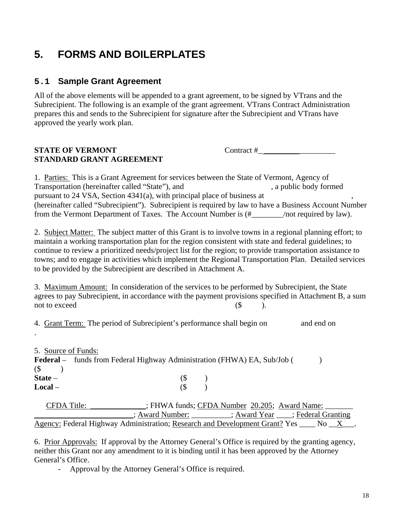## **5. FORMS AND BOILERPLATES**

## **5.1 Sample Grant Agreement**

All of the above elements will be appended to a grant agreement, to be signed by VTrans and the Subrecipient. The following is an example of the grant agreement. VTrans Contract Administration prepares this and sends to the Subrecipient for signature after the Subrecipient and VTrans have approved the yearly work plan.

## **STATE OF VERMONT** Contract #\_ **STANDARD GRANT AGREEMENT**

1. Parties: This is a Grant Agreement for services between the State of Vermont, Agency of Transportation (hereinafter called "State"), and , a public body formed pursuant to 24 VSA, Section 4341(a), with principal place of business at , (hereinafter called "Subrecipient"). Subrecipient is required by law to have a Business Account Number from the Vermont Department of Taxes. The Account Number is (#\_\_\_\_\_\_\_\_/not required by law).

2. Subject Matter: The subject matter of this Grant is to involve towns in a regional planning effort; to maintain a working transportation plan for the region consistent with state and federal guidelines; to continue to review a prioritized needs/project list for the region; to provide transportation assistance to towns; and to engage in activities which implement the Regional Transportation Plan. Detailed services to be provided by the Subrecipient are described in Attachment A.

3. Maximum Amount: In consideration of the services to be performed by Subrecipient, the State agrees to pay Subrecipient, in accordance with the payment provisions specified in Attachment B, a sum not to exceed  $(\text{S} \quad)$ .

4. Grant Term: The period of Subrecipient's performance shall begin on and end on

5. Source of Funds:

.

**Federal** – funds from Federal Highway Administration (FHWA) EA, Sub/Job ( )  $(S \t)$ **State** – (\$ )<br> **Local** – (\$ )  $\textbf{Local} =$  (\$)

| CFDA Title:                                                                            | : FHWA funds: CFDA Number 20.205; Award Name: |                                |
|----------------------------------------------------------------------------------------|-----------------------------------------------|--------------------------------|
|                                                                                        | : Award Number:                               | : Award Year; Federal Granting |
| Agency: Federal Highway Administration; Research and Development Grant? Yes ___ No _X_ |                                               |                                |

6. Prior Approvals: If approval by the Attorney General's Office is required by the granting agency, neither this Grant nor any amendment to it is binding until it has been approved by the Attorney General's Office.

- Approval by the Attorney General's Office is required.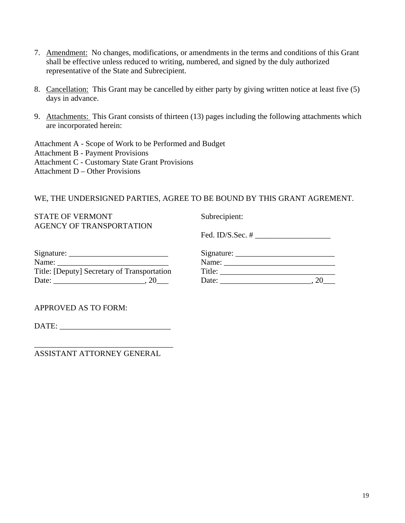- 7. Amendment: No changes, modifications, or amendments in the terms and conditions of this Grant shall be effective unless reduced to writing, numbered, and signed by the duly authorized representative of the State and Subrecipient.
- 8. Cancellation: This Grant may be cancelled by either party by giving written notice at least five (5) days in advance.
- 9. Attachments: This Grant consists of thirteen (13) pages including the following attachments which are incorporated herein:

Attachment A - Scope of Work to be Performed and Budget Attachment B - Payment Provisions Attachment C - Customary State Grant Provisions Attachment D – Other Provisions

### WE, THE UNDERSIGNED PARTIES, AGREE TO BE BOUND BY THIS GRANT AGREMENT.

| STATE OF VERMONT         |  |
|--------------------------|--|
| AGENCY OF TRANSPORTATION |  |

Subrecipient:

Fed. ID/S.Sec. # \_\_\_\_\_\_\_\_\_\_\_\_\_\_\_\_\_\_\_

| Signature:                                  | Signature: |  |
|---------------------------------------------|------------|--|
| Name:                                       | Name:      |  |
| Title: [Deputy] Secretary of Transportation | Title:     |  |
| Date:                                       | Date:      |  |

| Signature: |  |
|------------|--|
| Name:      |  |
| Title:     |  |
| Date:      |  |

APPROVED AS TO FORM:

DATE: \_\_\_\_\_\_\_\_\_\_\_\_\_\_\_\_\_\_\_\_\_\_\_\_\_\_\_\_

\_\_\_\_\_\_\_\_\_\_\_\_\_\_\_\_\_\_\_\_\_\_\_\_\_\_\_\_\_\_\_\_\_\_\_

ASSISTANT ATTORNEY GENERAL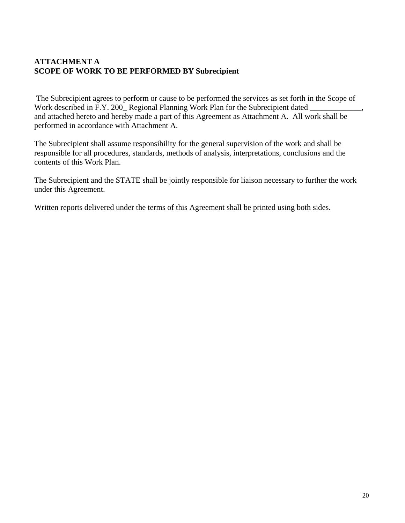## **ATTACHMENT A SCOPE OF WORK TO BE PERFORMED BY Subrecipient**

 The Subrecipient agrees to perform or cause to be performed the services as set forth in the Scope of Work described in F.Y. 200\_ Regional Planning Work Plan for the Subrecipient dated \_\_\_\_\_\_\_\_\_\_\_\_\_, and attached hereto and hereby made a part of this Agreement as Attachment A. All work shall be performed in accordance with Attachment A.

The Subrecipient shall assume responsibility for the general supervision of the work and shall be responsible for all procedures, standards, methods of analysis, interpretations, conclusions and the contents of this Work Plan.

The Subrecipient and the STATE shall be jointly responsible for liaison necessary to further the work under this Agreement.

Written reports delivered under the terms of this Agreement shall be printed using both sides.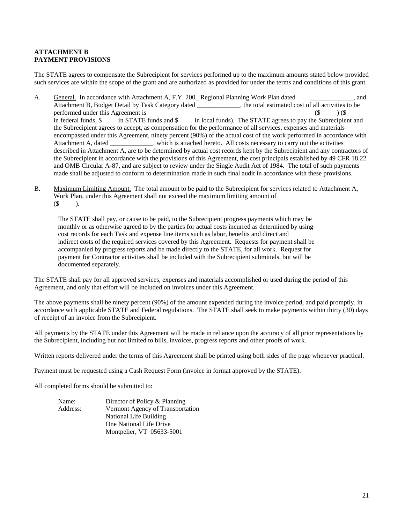### **ATTACHMENT B PAYMENT PROVISIONS**

The STATE agrees to compensate the Subrecipient for services performed up to the maximum amounts stated below provided such services are within the scope of the grant and are authorized as provided for under the terms and conditions of this grant.

A. General. In accordance with Attachment A, F.Y. 200 Regional Planning Work Plan dated , and Attachment B, Budget Detail by Task Category dated \_\_\_\_\_\_\_\_\_\_\_, the total estimated cost of all activities to be performed under this Agreement is (\$ ) (\$ in federal funds, \$ in STATE funds and \$ in local funds). The STATE agrees to pay the Subrecipient and the Subrecipient agrees to accept, as compensation for the performance of all services, expenses and materials encompassed under this Agreement, ninety percent (90%) of the actual cost of the work performed in accordance with Attachment A, dated \_\_\_\_\_\_\_\_\_\_, which is attached hereto. All costs necessary to carry out the activities described in Attachment A, are to be determined by actual cost records kept by the Subrecipient and any contractors of the Subrecipient in accordance with the provisions of this Agreement, the cost principals established by 49 CFR 18.22 and OMB Circular A-87, and are subject to review under the Single Audit Act of 1984. The total of such payments made shall be adjusted to conform to determination made in such final audit in accordance with these provisions.

B. Maximum Limiting Amount. The total amount to be paid to the Subrecipient for services related to Attachment A, Work Plan, under this Agreement shall not exceed the maximum limiting amount of  $(S \t)$ .

 The STATE shall pay, or cause to be paid, to the Subrecipient progress payments which may be monthly or as otherwise agreed to by the parties for actual costs incurred as determined by using cost records for each Task and expense line items such as labor, benefits and direct and indirect costs of the required services covered by this Agreement. Requests for payment shall be accompanied by progress reports and be made directly to the STATE, for all work. Request for payment for Contractor activities shall be included with the Subrecipient submittals, but will be documented separately.

The STATE shall pay for all approved services, expenses and materials accomplished or used during the period of this Agreement, and only that effort will be included on invoices under this Agreement.

The above payments shall be ninety percent (90%) of the amount expended during the invoice period, and paid promptly, in accordance with applicable STATE and Federal regulations. The STATE shall seek to make payments within thirty (30) days of receipt of an invoice from the Subrecipient.

All payments by the STATE under this Agreement will be made in reliance upon the accuracy of all prior representations by the Subrecipient, including but not limited to bills, invoices, progress reports and other proofs of work.

Written reports delivered under the terms of this Agreement shall be printed using both sides of the page whenever practical.

Payment must be requested using a Cash Request Form (invoice in format approved by the STATE).

All completed forms should be submitted to:

| Name:    | Director of Policy & Planning    |
|----------|----------------------------------|
| Address: | Vermont Agency of Transportation |
|          | National Life Building           |
|          | One National Life Drive          |
|          | Montpelier, VT 05633-5001        |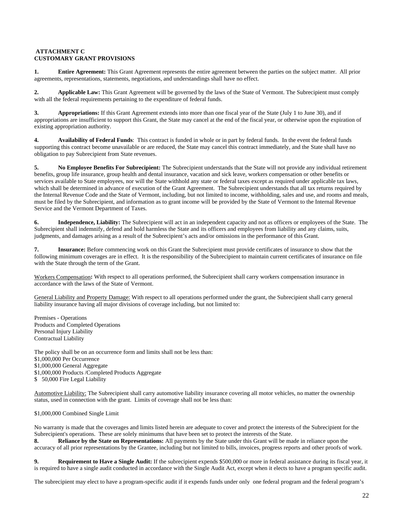### **ATTACHMENT C CUSTOMARY GRANT PROVISIONS**

**1. Entire Agreement:** This Grant Agreement represents the entire agreement between the parties on the subject matter. All prior agreements, representations, statements, negotiations, and understandings shall have no effect.

**2. Applicable Law:** This Grant Agreement will be governed by the laws of the State of Vermont. The Subrecipient must comply with all the federal requirements pertaining to the expenditure of federal funds.

**3. Appropriations:** If this Grant Agreement extends into more than one fiscal year of the State (July 1 to June 30), and if appropriations are insufficient to support this Grant, the State may cancel at the end of the fiscal year, or otherwise upon the expiration of existing appropriation authority.

**4. Availability of Federal Funds**: This contract is funded in whole or in part by federal funds. In the event the federal funds supporting this contract become unavailable or are reduced, the State may cancel this contract immediately, and the State shall have no obligation to pay Subrecipient from State revenues.

**5. No Employee Benefits For Subrecipient:** The Subrecipient understands that the State will not provide any individual retirement benefits, group life insurance, group health and dental insurance, vacation and sick leave, workers compensation or other benefits or services available to State employees, nor will the State withhold any state or federal taxes except as required under applicable tax laws, which shall be determined in advance of execution of the Grant Agreement. The Subrecipient understands that all tax returns required by the Internal Revenue Code and the State of Vermont, including, but not limited to income, withholding, sales and use, and rooms and meals, must be filed by the Subrecipient, and information as to grant income will be provided by the State of Vermont to the Internal Revenue Service and the Vermont Department of Taxes.

**6. Independence, Liability:** The Subrecipient will act in an independent capacity and not as officers or employees of the State. The Subrecipient shall indemnify, defend and hold harmless the State and its officers and employees from liability and any claims, suits, judgments, and damages arising as a result of the Subrecipient's acts and/or omissions in the performance of this Grant.

**7. Insurance:** Before commencing work on this Grant the Subrecipient must provide certificates of insurance to show that the following minimum coverages are in effect. It is the responsibility of the Subrecipient to maintain current certificates of insurance on file with the State through the term of the Grant.

Workers Compensation**:** With respect to all operations performed, the Subrecipient shall carry workers compensation insurance in accordance with the laws of the State of Vermont.

General Liability and Property Damage: With respect to all operations performed under the grant, the Subrecipient shall carry general liability insurance having all major divisions of coverage including, but not limited to:

Premises - Operations Products and Completed Operations Personal Injury Liability Contractual Liability

The policy shall be on an occurrence form and limits shall not be less than: \$1,000,000 Per Occurrence \$1,000,000 General Aggregate \$1,000,000 Products /Completed Products Aggregate \$ 50,000 Fire Legal Liability

Automotive Liability: The Subrecipient shall carry automotive liability insurance covering all motor vehicles, no matter the ownership status, used in connection with the grant. Limits of coverage shall not be less than:

### \$1,000,000 Combined Single Limit

No warranty is made that the coverages and limits listed herein are adequate to cover and protect the interests of the Subrecipient for the Subrecipient's operations. These are solely minimums that have been set to protect the interests of the State.

**8. Reliance by the State on Representations:** All payments by the State under this Grant will be made in reliance upon the accuracy of all prior representations by the Grantee, including but not limited to bills, invoices, progress reports and other proofs of work.

**9.** Requirement to Have a Single Audit: If the subrecipient expends \$500,000 or more in federal assistance during its fiscal year, it is required to have a single audit conducted in accordance with the Single Audit Act, except when it elects to have a program specific audit.

The subrecipient may elect to have a program-specific audit if it expends funds under only one federal program and the federal program's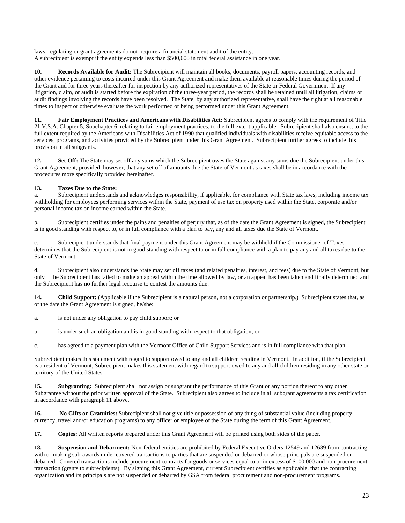laws, regulating or grant agreements do not require a financial statement audit of the entity. A subrecipient is exempt if the entity expends less than \$500,000 in total federal assistance in one year.

**10. Records Available for Audit:** The Subrecipient will maintain all books, documents, payroll papers, accounting records, and other evidence pertaining to costs incurred under this Grant Agreement and make them available at reasonable times during the period of the Grant and for three years thereafter for inspection by any authorized representatives of the State or Federal Government. If any litigation, claim, or audit is started before the expiration of the three-year period, the records shall be retained until all litigation, claims or audit findings involving the records have been resolved. The State, by any authorized representative, shall have the right at all reasonable times to inspect or otherwise evaluate the work performed or being performed under this Grant Agreement.

**11. Fair Employment Practices and Americans with Disabilities Act:** Subrecipient agrees to comply with the requirement of Title 21 V.S.A. Chapter 5, Subchapter 6, relating to fair employment practices, to the full extent applicable. Subrecipient shall also ensure, to the full extent required by the Americans with Disabilities Act of 1990 that qualified individuals with disabilities receive equitable access to the services, programs, and activities provided by the Subrecipient under this Grant Agreement. Subrecipient further agrees to include this provision in all subgrants.

**12.** Set Off: The State may set off any sums which the Subrecipient owes the State against any sums due the Subrecipient under this Grant Agreement; provided, however, that any set off of amounts due the State of Vermont as taxes shall be in accordance with the procedures more specifically provided hereinafter.

### **13. Taxes Due to the State:**

Subrecipient understands and acknowledges responsibility, if applicable, for compliance with State tax laws, including income tax withholding for employees performing services within the State, payment of use tax on property used within the State, corporate and/or personal income tax on income earned within the State.

b. Subrecipient certifies under the pains and penalties of perjury that, as of the date the Grant Agreement is signed, the Subrecipient is in good standing with respect to, or in full compliance with a plan to pay, any and all taxes due the State of Vermont.

c. Subrecipient understands that final payment under this Grant Agreement may be withheld if the Commissioner of Taxes determines that the Subrecipient is not in good standing with respect to or in full compliance with a plan to pay any and all taxes due to the State of Vermont.

d. Subrecipient also understands the State may set off taxes (and related penalties, interest, and fees) due to the State of Vermont, but only if the Subrecipient has failed to make an appeal within the time allowed by law, or an appeal has been taken and finally determined and the Subrecipient has no further legal recourse to contest the amounts due.

**14.** Child Support: (Applicable if the Subrecipient is a natural person, not a corporation or partnership.) Subrecipient states that, as of the date the Grant Agreement is signed, he/she:

a. is not under any obligation to pay child support; or

b. is under such an obligation and is in good standing with respect to that obligation; or

c. has agreed to a payment plan with the Vermont Office of Child Support Services and is in full compliance with that plan.

Subrecipient makes this statement with regard to support owed to any and all children residing in Vermont. In addition, if the Subrecipient is a resident of Vermont, Subrecipient makes this statement with regard to support owed to any and all children residing in any other state or territory of the United States.

**15.** Subgranting: Subrecipient shall not assign or subgrant the performance of this Grant or any portion thereof to any other Subgrantee without the prior written approval of the State. Subrecipient also agrees to include in all subgrant agreements a tax certification in accordance with paragraph 11 above.

**16. No Gifts or Gratuities:** Subrecipient shall not give title or possession of any thing of substantial value (including property, currency, travel and/or education programs) to any officer or employee of the State during the term of this Grant Agreement.

**17. Copies:** All written reports prepared under this Grant Agreement will be printed using both sides of the paper.

**18. Suspension and Debarment:** Non-federal entities are prohibited by Federal Executive Orders 12549 and 12689 from contracting with or making sub-awards under covered transactions to parties that are suspended or debarred or whose principals are suspended or debarred. Covered transactions include procurement contracts for goods or services equal to or in excess of \$100,000 and non-procurement transaction (grants to subrecipients). By signing this Grant Agreement, current Subrecipient certifies as applicable, that the contracting organization and its principals are not suspended or debarred by GSA from federal procurement and non-procurement programs.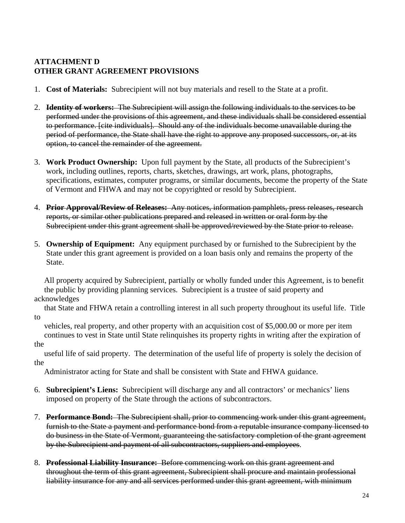## **ATTACHMENT D OTHER GRANT AGREEMENT PROVISIONS**

- 1. **Cost of Materials:** Subrecipient will not buy materials and resell to the State at a profit.
- 2. **Identity of workers:** The Subrecipient will assign the following individuals to the services to be performed under the provisions of this agreement, and these individuals shall be considered essential to performance. [cite individuals]. Should any of the individuals become unavailable during the period of performance, the State shall have the right to approve any proposed successors, or, at its option, to cancel the remainder of the agreement.
- 3. **Work Product Ownership:** Upon full payment by the State, all products of the Subrecipient's work, including outlines, reports, charts, sketches, drawings, art work, plans, photographs, specifications, estimates, computer programs, or similar documents, become the property of the State of Vermont and FHWA and may not be copyrighted or resold by Subrecipient.
- 4. **Prior Approval/Review of Releases:** Any notices, information pamphlets, press releases, research reports, or similar other publications prepared and released in written or oral form by the Subrecipient under this grant agreement shall be approved/reviewed by the State prior to release.
- 5. **Ownership of Equipment:** Any equipment purchased by or furnished to the Subrecipient by the State under this grant agreement is provided on a loan basis only and remains the property of the State.

 All property acquired by Subrecipient, partially or wholly funded under this Agreement, is to benefit the public by providing planning services. Subrecipient is a trustee of said property and acknowledges

 that State and FHWA retain a controlling interest in all such property throughout its useful life. Title to

 vehicles, real property, and other property with an acquisition cost of \$5,000.00 or more per item continues to vest in State until State relinquishes its property rights in writing after the expiration of the

 useful life of said property. The determination of the useful life of property is solely the decision of the

Administrator acting for State and shall be consistent with State and FHWA guidance.

- 6. **Subrecipient's Liens:** Subrecipient will discharge any and all contractors' or mechanics' liens imposed on property of the State through the actions of subcontractors.
- 7. **Performance Bond:** The Subrecipient shall, prior to commencing work under this grant agreement, furnish to the State a payment and performance bond from a reputable insurance company licensed to do business in the State of Vermont, guaranteeing the satisfactory completion of the grant agreement by the Subrecipient and payment of all subcontractors, suppliers and employees.
- 8. **Professional Liability Insurance:** Before commencing work on this grant agreement and throughout the term of this grant agreement, Subrecipient shall procure and maintain professional liability insurance for any and all services performed under this grant agreement, with minimum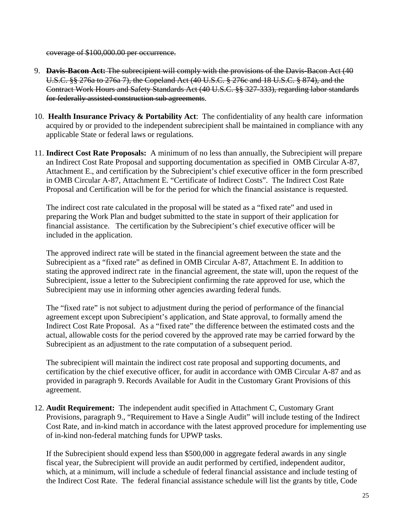coverage of \$100,000.00 per occurrence.

- 9. **Davis-Bacon Act:** The subrecipient will comply with the provisions of the Davis-Bacon Act (40 U.S.C. §§ 276a to 276a 7), the Copeland Act (40 U.S.C. § 276c and 18 U.S.C. § 874), and the Contract Work Hours and Safety Standards Act (40 U.S.C. §§ 327-333), regarding labor standards for federally assisted construction sub agreements.
- 10. **Health Insurance Privacy & Portability Act**: The confidentiality of any health care information acquired by or provided to the independent subrecipient shall be maintained in compliance with any applicable State or federal laws or regulations.
- 11. **Indirect Cost Rate Proposals:** A minimum of no less than annually, the Subrecipient will prepare an Indirect Cost Rate Proposal and supporting documentation as specified in OMB Circular A-87, Attachment E., and certification by the Subrecipient's chief executive officer in the form prescribed in OMB Circular A-87, Attachment E. "Certificate of Indirect Costs". The Indirect Cost Rate Proposal and Certification will be for the period for which the financial assistance is requested.

The indirect cost rate calculated in the proposal will be stated as a "fixed rate" and used in preparing the Work Plan and budget submitted to the state in support of their application for financial assistance. The certification by the Subrecipient's chief executive officer will be included in the application.

The approved indirect rate will be stated in the financial agreement between the state and the Subrecipient as a "fixed rate" as defined in OMB Circular A-87, Attachment E. In addition to stating the approved indirect rate in the financial agreement, the state will, upon the request of the Subrecipient, issue a letter to the Subrecipient confirming the rate approved for use, which the Subrecipient may use in informing other agencies awarding federal funds.

The "fixed rate" is not subject to adjustment during the period of performance of the financial agreement except upon Subrecipient's application, and State approval, to formally amend the Indirect Cost Rate Proposal. As a "fixed rate" the difference between the estimated costs and the actual, allowable costs for the period covered by the approved rate may be carried forward by the Subrecipient as an adjustment to the rate computation of a subsequent period.

The subrecipient will maintain the indirect cost rate proposal and supporting documents, and certification by the chief executive officer, for audit in accordance with OMB Circular A-87 and as provided in paragraph 9. Records Available for Audit in the Customary Grant Provisions of this agreement.

12. **Audit Requirement:** The independent audit specified in Attachment C, Customary Grant Provisions, paragraph 9., "Requirement to Have a Single Audit" will include testing of the Indirect Cost Rate, and in-kind match in accordance with the latest approved procedure for implementing use of in-kind non-federal matching funds for UPWP tasks.

If the Subrecipient should expend less than \$500,000 in aggregate federal awards in any single fiscal year, the Subrecipient will provide an audit performed by certified, independent auditor, which, at a minimum, will include a schedule of federal financial assistance and include testing of the Indirect Cost Rate. The federal financial assistance schedule will list the grants by title, Code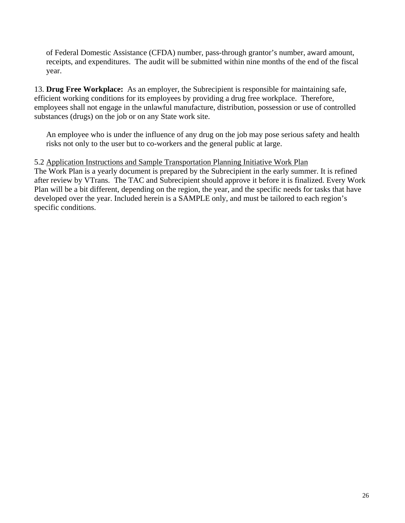of Federal Domestic Assistance (CFDA) number, pass-through grantor's number, award amount, receipts, and expenditures. The audit will be submitted within nine months of the end of the fiscal year.

13. **Drug Free Workplace:** As an employer, the Subrecipient is responsible for maintaining safe, efficient working conditions for its employees by providing a drug free workplace. Therefore, employees shall not engage in the unlawful manufacture, distribution, possession or use of controlled substances (drugs) on the job or on any State work site.

An employee who is under the influence of any drug on the job may pose serious safety and health risks not only to the user but to co-workers and the general public at large.

## 5.2 Application Instructions and Sample Transportation Planning Initiative Work Plan

The Work Plan is a yearly document is prepared by the Subrecipient in the early summer. It is refined after review by VTrans. The TAC and Subrecipient should approve it before it is finalized. Every Work Plan will be a bit different, depending on the region, the year, and the specific needs for tasks that have developed over the year. Included herein is a SAMPLE only, and must be tailored to each region's specific conditions.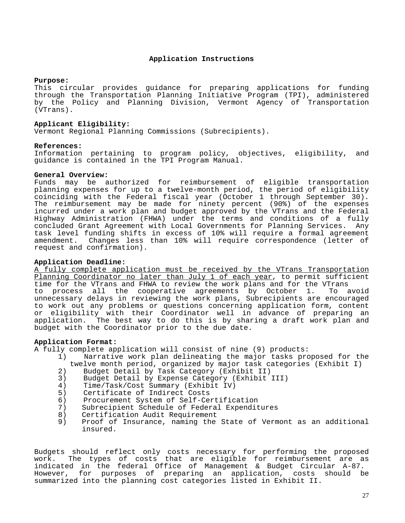### **Application Instructions**

### **Purpose:**

This circular provides guidance for preparing applications for funding through the Transportation Planning Initiative Program (TPI), administered by the Policy and Planning Division, Vermont Agency of Transportation (VTrans).

### **Applicant Eligibility:**

Vermont Regional Planning Commissions (Subrecipients).

### **References:**

Information pertaining to program policy, objectives, eligibility, and guidance is contained in the TPI Program Manual.

### **General Overview:**

Funds may be authorized for reimbursement of eligible transportation planning expenses for up to a twelve-month period, the period of eligibility coinciding with the Federal fiscal year (October 1 through September 30). The reimbursement may be made for ninety percent (90%) of the expenses incurred under a work plan and budget approved by the VTrans and the Federal Highway Administration (FHWA) under the terms and conditions of a fully concluded Grant Agreement with Local Governments for Planning Services. Any task level funding shifts in excess of 10% will require a formal agreement amendment. Changes less than 10% will require correspondence (letter of request and confirmation).

### **Application Deadline:**

A fully complete application must be received by the VTrans Transportation Planning Coordinator no later than July 1 of each year, to permit sufficient time for the VTrans and FHWA to review the work plans and for the VTrans to process all the cooperative agreements by October 1. To avoid unnecessary delays in reviewing the work plans, Subrecipients are encouraged to work out any problems or questions concerning application form, content or eligibility with their Coordinator well in advance of preparing an application. The best way to do this is by sharing a draft work plan and budget with the Coordinator prior to the due date.

### **Application Format:**

A fully complete application will consist of nine (9) products:

- 1) Narrative work plan delineating the major tasks proposed for the twelve month period, organized by major task categories (Exhibit I)
- 2) Budget Detail by Task Category (Exhibit II)
- 3) Budget Detail by Expense Category (Exhibit III)
- 4) Time/Task/Cost Summary (Exhibit IV)
- Certificate of Indirect Costs
- 6) Procurement System of Self-Certification
- 7) Subrecipient Schedule of Federal Expenditures
- 8) Certification Audit Requirement
- 9) Proof of Insurance, naming the State of Vermont as an additional insured.

Budgets should reflect only costs necessary for performing the proposed work. The types of costs that are eligible for reimbursement are as indicated in the federal Office of Management & Budget Circular A-87. However, for purposes of preparing an application, costs should be summarized into the planning cost categories listed in Exhibit II.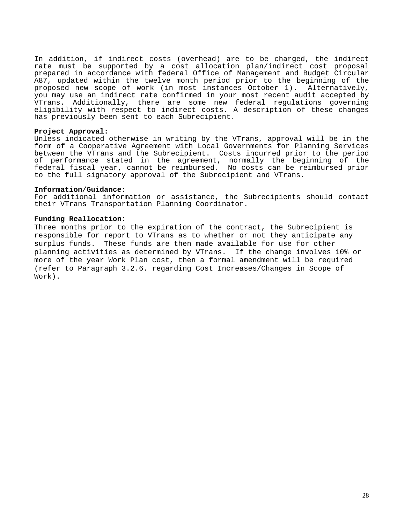In addition, if indirect costs (overhead) are to be charged, the indirect rate must be supported by a cost allocation plan/indirect cost proposal prepared in accordance with federal Office of Management and Budget Circular A87, updated within the twelve month period prior to the beginning of the proposed new scope of work (in most instances October 1). Alternatively, you may use an indirect rate confirmed in your most recent audit accepted by VTrans. Additionally, there are some new federal regulations governing eligibility with respect to indirect costs. A description of these changes has previously been sent to each Subrecipient.

### **Project Approval:**

Unless indicated otherwise in writing by the VTrans, approval will be in the form of a Cooperative Agreement with Local Governments for Planning Services between the VTrans and the Subrecipient. Costs incurred prior to the period of performance stated in the agreement, normally the beginning of the federal fiscal year, cannot be reimbursed. No costs can be reimbursed prior to the full signatory approval of the Subrecipient and VTrans.

### **Information/Guidance:**

For additional information or assistance, the Subrecipients should contact their VTrans Transportation Planning Coordinator.

### **Funding Reallocation:**

Three months prior to the expiration of the contract, the Subrecipient is responsible for report to VTrans as to whether or not they anticipate any surplus funds. These funds are then made available for use for other planning activities as determined by VTrans. If the change involves 10% or more of the year Work Plan cost, then a formal amendment will be required (refer to Paragraph 3.2.6. regarding Cost Increases/Changes in Scope of Work).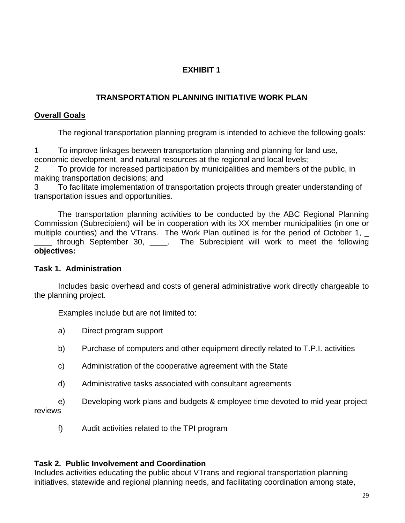## **EXHIBIT 1**

## **TRANSPORTATION PLANNING INITIATIVE WORK PLAN**

## **Overall Goals**

The regional transportation planning program is intended to achieve the following goals:

1 To improve linkages between transportation planning and planning for land use, economic development, and natural resources at the regional and local levels;

2 To provide for increased participation by municipalities and members of the public, in making transportation decisions; and

3 To facilitate implementation of transportation projects through greater understanding of transportation issues and opportunities.

The transportation planning activities to be conducted by the ABC Regional Planning Commission (Subrecipient) will be in cooperation with its XX member municipalities (in one or multiple counties) and the VTrans. The Work Plan outlined is for the period of October 1,

through September 30, \_\_\_\_. The Subrecipient will work to meet the following **objectives:** 

## **Task 1. Administration**

Includes basic overhead and costs of general administrative work directly chargeable to the planning project.

Examples include but are not limited to:

- a) Direct program support
- b) Purchase of computers and other equipment directly related to T.P.I. activities
- c) Administration of the cooperative agreement with the State
- d) Administrative tasks associated with consultant agreements

e) Developing work plans and budgets & employee time devoted to mid-year project reviews

f) Audit activities related to the TPI program

## **Task 2. Public Involvement and Coordination**

Includes activities educating the public about VTrans and regional transportation planning initiatives, statewide and regional planning needs, and facilitating coordination among state,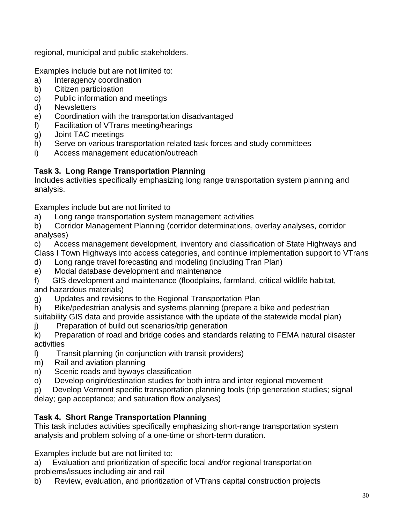regional, municipal and public stakeholders.

Examples include but are not limited to:

- a) Interagency coordination
- b) Citizen participation
- c) Public information and meetings
- d) Newsletters
- e) Coordination with the transportation disadvantaged
- f) Facilitation of VTrans meeting/hearings
- g) Joint TAC meetings
- h) Serve on various transportation related task forces and study committees
- i) Access management education/outreach

## **Task 3. Long Range Transportation Planning**

Includes activities specifically emphasizing long range transportation system planning and analysis.

Examples include but are not limited to

- a) Long range transportation system management activities
- b) Corridor Management Planning (corridor determinations, overlay analyses, corridor analyses)
- c) Access management development, inventory and classification of State Highways and Class I Town Highways into access categories, and continue implementation support to VTrans
- d) Long range travel forecasting and modeling (including Tran Plan)
- e) Modal database development and maintenance
- f) GIS development and maintenance (floodplains, farmland, critical wildlife habitat, and hazardous materials)
- g) Updates and revisions to the Regional Transportation Plan
- h) Bike/pedestrian analysis and systems planning (prepare a bike and pedestrian
- suitability GIS data and provide assistance with the update of the statewide modal plan)
- j) Preparation of build out scenarios/trip generation
- k) Preparation of road and bridge codes and standards relating to FEMA natural disaster activities
- l) Transit planning (in conjunction with transit providers)
- m) Rail and aviation planning
- n) Scenic roads and byways classification
- o) Develop origin/destination studies for both intra and inter regional movement
- p) Develop Vermont specific transportation planning tools (trip generation studies; signal delay; gap acceptance; and saturation flow analyses)

## **Task 4. Short Range Transportation Planning**

This task includes activities specifically emphasizing short-range transportation system analysis and problem solving of a one-time or short-term duration.

Examples include but are not limited to:

a) Evaluation and prioritization of specific local and/or regional transportation problems/issues including air and rail

b) Review, evaluation, and prioritization of VTrans capital construction projects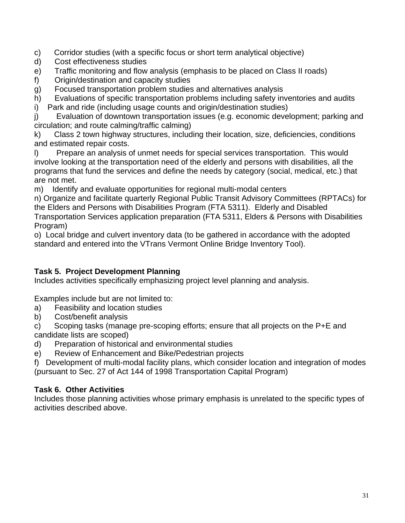c) Corridor studies (with a specific focus or short term analytical objective)

d) Cost effectiveness studies

e) Traffic monitoring and flow analysis (emphasis to be placed on Class II roads)

- f) Origin/destination and capacity studies
- g) Focused transportation problem studies and alternatives analysis

h) Evaluations of specific transportation problems including safety inventories and audits

i) Park and ride (including usage counts and origin/destination studies)

j) Evaluation of downtown transportation issues (e.g. economic development; parking and circulation; and route calming/traffic calming)

k) Class 2 town highway structures, including their location, size, deficiencies, conditions and estimated repair costs.

l) Prepare an analysis of unmet needs for special services transportation. This would involve looking at the transportation need of the elderly and persons with disabilities, all the programs that fund the services and define the needs by category (social, medical, etc.) that are not met.

m) Identify and evaluate opportunities for regional multi-modal centers

n) Organize and facilitate quarterly Regional Public Transit Advisory Committees (RPTACs) for the Elders and Persons with Disabilities Program (FTA 5311). Elderly and Disabled Transportation Services application preparation (FTA 5311, Elders & Persons with Disabilities Program)

o) Local bridge and culvert inventory data (to be gathered in accordance with the adopted standard and entered into the VTrans Vermont Online Bridge Inventory Tool).

## **Task 5. Project Development Planning**

Includes activities specifically emphasizing project level planning and analysis.

Examples include but are not limited to:

a) Feasibility and location studies

b) Cost/benefit analysis

c) Scoping tasks (manage pre-scoping efforts; ensure that all projects on the P+E and candidate lists are scoped)

- d) Preparation of historical and environmental studies
- e) Review of Enhancement and Bike/Pedestrian projects

f) Development of multi-modal facility plans, which consider location and integration of modes (pursuant to Sec. 27 of Act 144 of 1998 Transportation Capital Program)

## **Task 6. Other Activities**

Includes those planning activities whose primary emphasis is unrelated to the specific types of activities described above.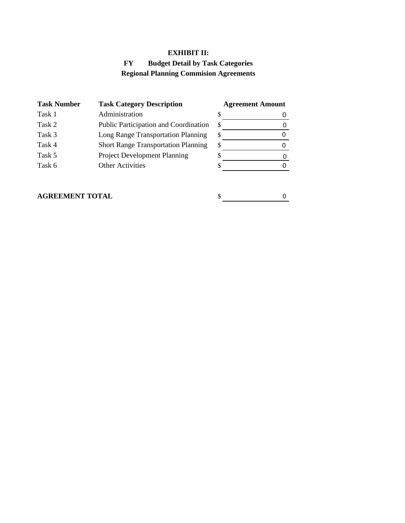## **EXHIBIT II: FY Budget Detail by Task Categories Regional Planning Commision Agreements**

| <b>Task Number</b> | <b>Task Category Description</b>           |    | <b>Agreement Amount</b> |
|--------------------|--------------------------------------------|----|-------------------------|
| Task 1             | Administration                             | S  |                         |
| Task 2             | Public Participation and Coordination      | \$ |                         |
| Task 3             | Long Range Transportation Planning         | \$ |                         |
| Task 4             | <b>Short Range Transportation Planning</b> | S  |                         |
| Task 5             | <b>Project Development Planning</b>        |    |                         |
| Task 6             | <b>Other Activities</b>                    |    |                         |
|                    |                                            |    |                         |

**AGREEMENT TOTAL** 

 $\begin{picture}(150,10) \put(0,0){\line(1,0){10}} \put(15,0){\line(1,0){10}} \put(15,0){\line(1,0){10}} \put(15,0){\line(1,0){10}} \put(15,0){\line(1,0){10}} \put(15,0){\line(1,0){10}} \put(15,0){\line(1,0){10}} \put(15,0){\line(1,0){10}} \put(15,0){\line(1,0){10}} \put(15,0){\line(1,0){10}} \put(15,0){\line(1,0){10}} \put(15,0){\line($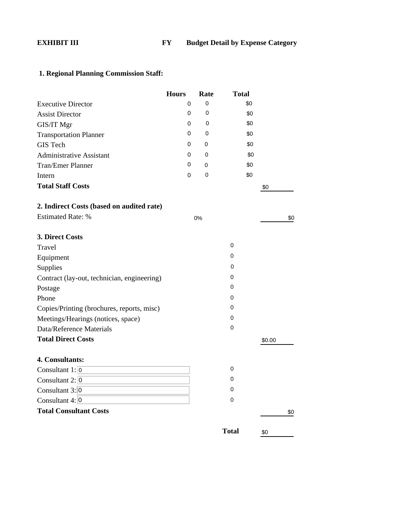## **EXHIBIT III FY Budget Detail by Expense Category**

## **1. Regional Planning Commission Staff:**

|                                             | <b>Hours</b> | Rate | <b>Total</b> |        |     |
|---------------------------------------------|--------------|------|--------------|--------|-----|
| <b>Executive Director</b>                   | 0            | 0    | \$0          |        |     |
| <b>Assist Director</b>                      | 0            | 0    | \$0          |        |     |
| GIS/IT Mgr                                  | 0            | 0    | \$0          |        |     |
| <b>Transportation Planner</b>               | 0            | 0    | \$0          |        |     |
| <b>GIS Tech</b>                             | 0            | 0    | \$0          |        |     |
| <b>Administrative Assistant</b>             | 0            | 0    | \$0          |        |     |
| <b>Tran/Emer Planner</b>                    | 0            | 0    | \$0          |        |     |
| Intern                                      | 0            | 0    | \$0          |        |     |
| <b>Total Staff Costs</b>                    |              |      |              | \$0    |     |
| 2. Indirect Costs (based on audited rate)   |              |      |              |        |     |
| <b>Estimated Rate: %</b>                    |              | 0%   |              |        | \$0 |
| 3. Direct Costs                             |              |      |              |        |     |
| Travel                                      |              |      | $\Omega$     |        |     |
| Equipment                                   |              |      | 0            |        |     |
| Supplies                                    |              |      | 0            |        |     |
| Contract (lay-out, technician, engineering) |              |      | $\mathbf 0$  |        |     |
| Postage                                     |              |      | $\Omega$     |        |     |
| Phone                                       |              |      | $\Omega$     |        |     |
| Copies/Printing (brochures, reports, misc)  |              |      | 0            |        |     |
| Meetings/Hearings (notices, space)          |              |      | 0            |        |     |
| Data/Reference Materials                    |              |      | $\mathbf 0$  |        |     |
| <b>Total Direct Costs</b>                   |              |      |              | \$0.00 |     |
| 4. Consultants:                             |              |      |              |        |     |
| Consultant $1:0$                            |              |      | $\mathbf 0$  |        |     |
| Consultant $2:0$                            |              |      | $\Omega$     |        |     |
| Consultant 3:10                             |              |      | 0            |        |     |
| Consultant $4:0$                            |              |      | $\Omega$     |        |     |
| <b>Total Consultant Costs</b>               |              |      |              |        | \$0 |
|                                             |              |      | <b>Total</b> | \$0    |     |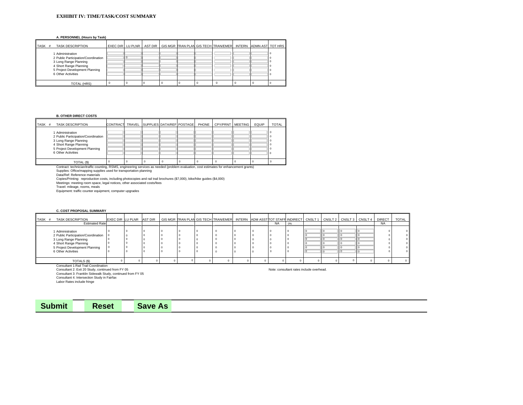### **EXHIBIT IV: TIME/TASK/COST SUMMARY**

### **A. PERSONNEL (Hours by Task)**

| TASK # | <b>TASK DESCRIPTION</b>                                                                                                                                          |  |  |  | EXEC DIR LU PLNR AST DIR GIS MGR TRAN PLAN GIS TECH TRAN/EMER INTERN ADMN AST TOT HRS |  |  |
|--------|------------------------------------------------------------------------------------------------------------------------------------------------------------------|--|--|--|---------------------------------------------------------------------------------------|--|--|
|        | Administration<br>2 Public Participation/Coordination<br>3 Long Range Planning<br>4 Short Range Planning<br>5 Project Development Planning<br>6 Other Activities |  |  |  |                                                                                       |  |  |
|        | TOTAL (HRS)                                                                                                                                                      |  |  |  |                                                                                       |  |  |

### **B. OTHER DIRECT COSTS**

|        | <b>TOTAL (HRS)</b>                                           | $^{\circ}$                                | $^{\circ}$ | $\overline{0}$ | $^{\circ}$ | 10           | $^{\circ}$ | 0          | 0              | $^{\circ}$ | $^{\circ}$           |
|--------|--------------------------------------------------------------|-------------------------------------------|------------|----------------|------------|--------------|------------|------------|----------------|------------|----------------------|
|        |                                                              |                                           |            |                |            |              |            |            |                |            |                      |
|        |                                                              |                                           |            |                |            |              |            |            |                |            |                      |
|        |                                                              |                                           |            |                |            |              |            |            |                |            |                      |
|        |                                                              |                                           |            |                |            |              |            |            |                |            |                      |
|        |                                                              |                                           |            |                |            |              |            |            |                |            |                      |
|        |                                                              |                                           |            |                |            |              |            |            |                |            |                      |
|        | <b>B. OTHER DIRECT COSTS</b>                                 |                                           |            |                |            |              |            |            |                |            |                      |
| TASK # | <b>TASK DESCRIPTION</b>                                      | CONTRACT TRAVEL SUPPLIES DATA/REF POSTAGE |            |                |            |              | PHONE      | CPY/PRNT   | <b>MEETING</b> | EQUIP      | <b>TOTAL</b>         |
|        |                                                              |                                           |            |                |            |              |            |            |                |            |                      |
|        | 1 Administration                                             |                                           |            |                |            |              |            |            |                |            | $\Omega$<br>$\Omega$ |
|        | 2 Public Participation/Coordination<br>3 Long Range Planning |                                           |            |                |            |              |            |            |                |            | 0                    |
|        | 4 Short Range Planning                                       |                                           |            |                |            |              |            |            |                |            | o                    |
|        | 5 Project Development Planning                               |                                           |            |                |            |              |            |            |                |            | $^{\circ}$           |
|        | 6 Other Activities                                           |                                           |            |                |            |              |            |            |                |            | $^{\circ}$           |
|        |                                                              |                                           |            |                |            |              |            |            |                |            |                      |
|        | TOTAL (\$)                                                   | $^{\circ}$                                | $^{\circ}$ | $\mathbf 0$    | $^{\circ}$ | $\mathbf{0}$ | $^{\circ}$ | $^{\circ}$ | 0              | $^{\circ}$ | $^{\circ}$           |

TOTAL (\$)<br>Contract: technician/traffic counting, RSMS, engineering series as needed (problem evaluation, cost estimates for enhancement grants)<br>Data/Ref: Reference materials<br>Copies/Printing: reproduction costs, including p

**Reset**

### **C. COST PROPOSAL SUMMARY**

| TASK #<br><b>TASK DESCRIPTION</b>                                                                                                                                                                                                                                                  |  |  |  |  |  |  | EXEC DIR LUPLNR AST DIR GIS MGR FRAN PLAN GIS TECH TRAN/EMER INTERN ADM ASST FOT STAFF INDIRECT CNSLT 1 CNSLT 2 CNSLT 3 CNSLT 4 DIRECT |  |           |    |  |  |           | <b>TOTAL</b> |
|------------------------------------------------------------------------------------------------------------------------------------------------------------------------------------------------------------------------------------------------------------------------------------|--|--|--|--|--|--|----------------------------------------------------------------------------------------------------------------------------------------|--|-----------|----|--|--|-----------|--------------|
| <b>Estimated Rate</b>                                                                                                                                                                                                                                                              |  |  |  |  |  |  |                                                                                                                                        |  | <b>NA</b> | 0% |  |  | <b>NA</b> |              |
| 1 Administration<br>2 Public Participation/Coordination                                                                                                                                                                                                                            |  |  |  |  |  |  |                                                                                                                                        |  |           |    |  |  |           |              |
| 3 Long Range Planning<br>4 Short Range Planning<br>5 Project Development Planning<br>6 Other Activities                                                                                                                                                                            |  |  |  |  |  |  |                                                                                                                                        |  |           |    |  |  |           |              |
| TOTALS (\$)                                                                                                                                                                                                                                                                        |  |  |  |  |  |  |                                                                                                                                        |  |           |    |  |  |           |              |
| Consultant 1: Rail Trail Coordination<br>Consultant 2: Exit 20 Study, continued from FY 05<br>Note: consultant rates include overhead.<br>Consultant 3: Franklin Sidewalk Study, continued from FY 05<br>Consultant 4: Intersection Study in Fairfax<br>Labor Rates include fringe |  |  |  |  |  |  |                                                                                                                                        |  |           |    |  |  |           |              |

**Submit**

**Save As**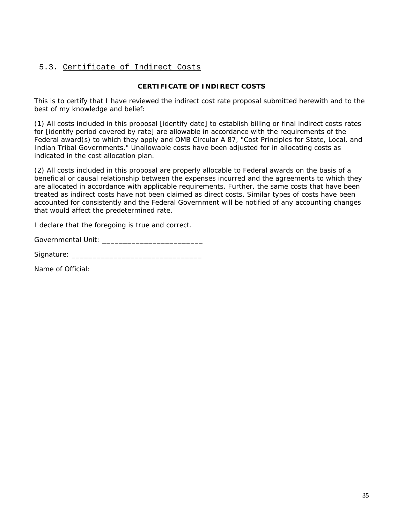## 5.3. Certificate of Indirect Costs

### **CERTIFICATE OF INDIRECT COSTS**

This is to certify that I have reviewed the indirect cost rate proposal submitted herewith and to the best of my knowledge and belief:

(1) All costs included in this proposal [identify date] to establish billing or final indirect costs rates for [identify period covered by rate] are allowable in accordance with the requirements of the Federal award(s) to which they apply and OMB Circular A 87, "Cost Principles for State, Local, and Indian Tribal Governments." Unallowable costs have been adjusted for in allocating costs as indicated in the cost allocation plan.

(2) All costs included in this proposal are properly allocable to Federal awards on the basis of a beneficial or causal relationship between the expenses incurred and the agreements to which they are allocated in accordance with applicable requirements. Further, the same costs that have been treated as indirect costs have not been claimed as direct costs. Similar types of costs have been accounted for consistently and the Federal Government will be notified of any accounting changes that would affect the predetermined rate.

I declare that the foregoing is true and correct.

Governmental Unit: \_\_\_\_\_\_\_\_\_\_\_\_\_\_\_\_\_\_\_\_\_\_\_\_

| Signature: |  |
|------------|--|
|            |  |
|            |  |

Name of Official: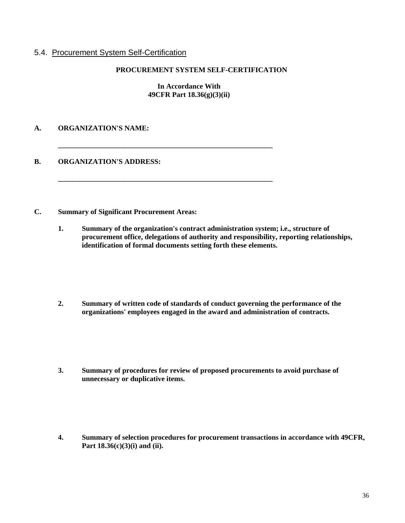### 5.4. Procurement System Self-Certification

### **PROCUREMENT SYSTEM SELF-CERTIFICATION**

 **In Accordance With 49CFR Part 18.36(g)(3)(ii)** 

**\_\_\_\_\_\_\_\_\_\_\_\_\_\_\_\_\_\_\_\_\_\_\_\_\_\_\_\_\_\_\_\_\_\_\_\_\_\_\_\_\_\_\_\_\_\_\_\_\_\_\_\_\_\_\_\_\_\_\_** 

**\_\_\_\_\_\_\_\_\_\_\_\_\_\_\_\_\_\_\_\_\_\_\_\_\_\_\_\_\_\_\_\_\_\_\_\_\_\_\_\_\_\_\_\_\_\_\_\_\_\_\_\_\_\_\_\_\_\_\_** 

### **A. ORGANIZATION'S NAME:**

### **B. ORGANIZATION'S ADDRESS:**

### **C. Summary of Significant Procurement Areas:**

- **1. Summary of the organization's contract administration system; i.e., structure of procurement office, delegations of authority and responsibility, reporting relationships, identification of formal documents setting forth these elements.**
- **2. Summary of written code of standards of conduct governing the performance of the organizations' employees engaged in the award and administration of contracts.**
- **3. Summary of procedures for review of proposed procurements to avoid purchase of unnecessary or duplicative items.**
- **4. Summary of selection procedures for procurement transactions in accordance with 49CFR, Part 18.36(c)(3)(i) and (ii).**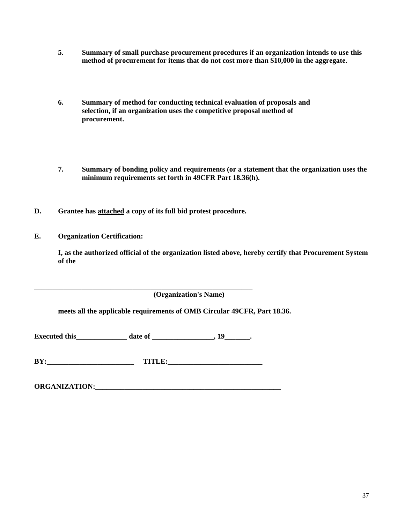- **5. Summary of small purchase procurement procedures if an organization intends to use this method of procurement for items that do not cost more than \$10,000 in the aggregate.**
- **6. Summary of method for conducting technical evaluation of proposals and selection, if an organization uses the competitive proposal method of procurement.**
- **7. Summary of bonding policy and requirements (or a statement that the organization uses the minimum requirements set forth in 49CFR Part 18.36(h).**
- **D. Grantee has attached a copy of its full bid protest procedure.**
- **E. Organization Certification:**

**I, as the authorized official of the organization listed above, hereby certify that Procurement System of the** 

 **(Organization's Name)** 

**meets all the applicable requirements of OMB Circular 49CFR, Part 18.36.** 

**Executed this\_\_\_\_\_\_\_\_\_\_\_\_\_\_\_\_ date of \_\_\_\_\_\_\_\_\_\_\_\_\_\_\_\_\_\_, 19\_\_\_\_\_\_\_\_.** 

**\_\_\_\_\_\_\_\_\_\_\_\_\_\_\_\_\_\_\_\_\_\_\_\_\_\_\_\_\_\_\_\_\_\_\_\_\_\_\_\_\_\_\_\_\_\_\_\_\_\_\_\_\_\_\_\_\_\_\_\_** 

**BY:\_\_\_\_\_\_\_\_\_\_\_\_\_\_\_\_\_\_\_\_\_\_\_\_ TITLE:\_\_\_\_\_\_\_\_\_\_\_\_\_\_\_\_\_\_\_\_\_\_\_\_\_\_** 

**ORGANIZATION:**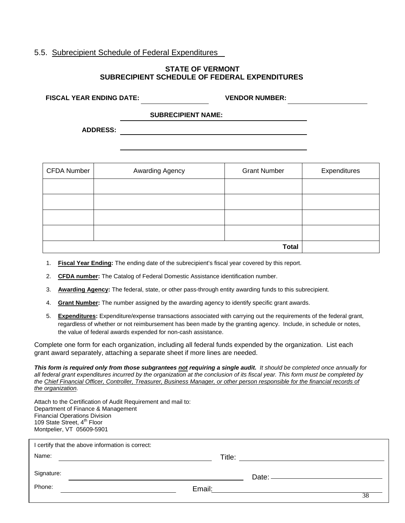### 5.5. Subrecipient Schedule of Federal Expenditures

### **STATE OF VERMONT SUBRECIPIENT SCHEDULE OF FEDERAL EXPENDITURES**

 **FISCAL YEAR ENDING DATE: VENDOR NUMBER:**

**SUBRECIPIENT NAME:** 

 **ADDRESS:** 

| <b>CFDA Number</b> | <b>Awarding Agency</b> | <b>Grant Number</b> | Expenditures |
|--------------------|------------------------|---------------------|--------------|
|                    |                        |                     |              |
|                    |                        |                     |              |
|                    |                        |                     |              |
|                    |                        |                     |              |
|                    |                        |                     |              |

- 1. **Fiscal Year Ending:** The ending date of the subrecipient's fiscal year covered by this report.
- 2. **CFDA number:** The Catalog of Federal Domestic Assistance identification number.
- 3. **Awarding Agency:** The federal, state, or other pass-through entity awarding funds to this subrecipient.
- 4. **Grant Number:** The number assigned by the awarding agency to identify specific grant awards.
- 5. **Expenditures:** Expenditure/expense transactions associated with carrying out the requirements of the federal grant, regardless of whether or not reimbursement has been made by the granting agency. Include, in schedule or notes, the value of federal awards expended for non-cash assistance.

Complete one form for each organization, including all federal funds expended by the organization. List each grant award separately, attaching a separate sheet if more lines are needed.

*This form is required only from those subgrantees not requiring a single audit. It should be completed once annually for all federal grant expenditures incurred by the organization at the conclusion of its fiscal year. This form must be completed by the Chief Financial Officer, Controller, Treasurer, Business Manager, or other person responsible for the financial records of the organization.* 

Attach to the Certification of Audit Requirement and mail to: Department of Finance & Management Financial Operations Division 109 State Street, 4<sup>th</sup> Floor Montpelier, VT 05609-5901

| I certify that the above information is correct:          |                                                                                                                 |
|-----------------------------------------------------------|-----------------------------------------------------------------------------------------------------------------|
| Name:<br><u> 1980 - Jan Stein, amerikansk politiker (</u> |                                                                                                                 |
| Signature:                                                |                                                                                                                 |
| Phone:                                                    | Email: 2008. 2009. 2009. 2009. 2012. 2013. 2014. 2015. 2016. 2017. 2018. 2019. 2014. 2016. 2017. 2017. 2017. 20 |
|                                                           | 38                                                                                                              |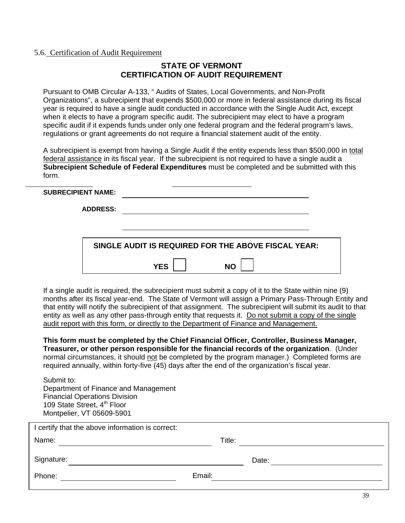### 5.6. Certification of Audit Requirement

## **STATE OF VERMONT CERTIFICATION OF AUDIT REQUIREMENT**

Pursuant to OMB Circular A-133, " Audits of States, Local Governments, and Non-Profit Organizations", a subrecipient that expends \$500,000 or more in federal assistance during its fiscal year is required to have a single audit conducted in accordance with the Single Audit Act, except when it elects to have a program specific audit. The subrecipient may elect to have a program specific audit if it expends funds under only one federal program and the federal program's laws, regulations or grant agreements do not require a financial statement audit of the entity.

A subrecipient is exempt from having a Single Audit if the entity expends less than \$500,000 in total federal assistance in its fiscal year. If the subrecipient is not required to have a single audit a **Subrecipient Schedule of Federal Expenditures** must be completed and be submitted with this form.

| <b>SUBRECIPIENT NAME:</b> |                 |                                                                                                                                                                                                                                                                                                                                                                                                                                                                                                                               |  |
|---------------------------|-----------------|-------------------------------------------------------------------------------------------------------------------------------------------------------------------------------------------------------------------------------------------------------------------------------------------------------------------------------------------------------------------------------------------------------------------------------------------------------------------------------------------------------------------------------|--|
|                           | <b>ADDRESS:</b> |                                                                                                                                                                                                                                                                                                                                                                                                                                                                                                                               |  |
|                           |                 |                                                                                                                                                                                                                                                                                                                                                                                                                                                                                                                               |  |
|                           |                 | SINGLE AUDIT IS REQUIRED FOR THE ABOVE FISCAL YEAR:                                                                                                                                                                                                                                                                                                                                                                                                                                                                           |  |
|                           |                 | <b>NO</b><br><b>YES</b>                                                                                                                                                                                                                                                                                                                                                                                                                                                                                                       |  |
|                           |                 | If a single audit is required, the subrecipient must submit a copy of it to the State within nine (9)<br>months after its fiscal year-end. The State of Vermont will assign a Primary Pass-Through Entity and<br>that entity will notify the subrecipient of that assignment. The subrecipient will submit its audit to that<br>entity as well as any other pass-through entity that requests it. Do not submit a copy of the single<br>audit report with this form, or directly to the Department of Finance and Management. |  |

**This form must be completed by the Chief Financial Officer, Controller, Business Manager, Treasurer, or other person responsible for the financial records of the organization**. (Under normal circumstances, it should not be completed by the program manager.) Completed forms are required annually, within forty-five (45) days after the end of the organization's fiscal year.

Submit to: Department of Finance and Management Financial Operations Division 109 State Street, 4<sup>th</sup> Floor Montpelier, VT 05609-5901

| I certify that the above information is correct: |        |
|--------------------------------------------------|--------|
| Name:                                            | Title: |
| Signature:                                       | Date:  |
| Email:<br>Phone:                                 |        |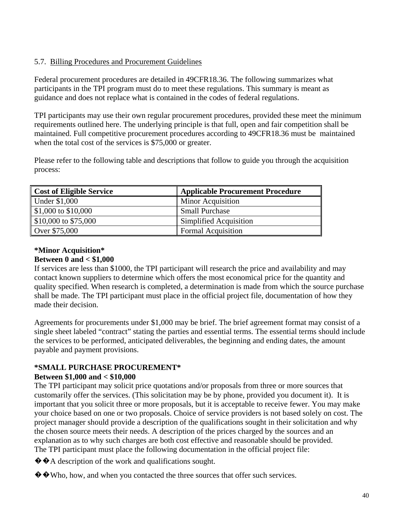## 5.7. Billing Procedures and Procurement Guidelines

Federal procurement procedures are detailed in 49CFR18.36. The following summarizes what participants in the TPI program must do to meet these regulations. This summary is meant as guidance and does not replace what is contained in the codes of federal regulations.

TPI participants may use their own regular procurement procedures, provided these meet the minimum requirements outlined here. The underlying principle is that full, open and fair competition shall be maintained. Full competitive procurement procedures according to 49CFR18.36 must be maintained when the total cost of the services is \$75,000 or greater.

Please refer to the following table and descriptions that follow to guide you through the acquisition process:

| <b>Cost of Eligible Service</b> | <b>Applicable Procurement Procedure</b> |
|---------------------------------|-----------------------------------------|
| <b>Under \$1,000</b>            | <b>Minor Acquisition</b>                |
| $$1,000$ to \$10,000            | <b>Small Purchase</b>                   |
| $$10,000$ to \$75,000           | Simplified Acquisition                  |
| Over \$75,000                   | <b>Formal Acquisition</b>               |

## **\*Minor Acquisition\***

### **Between 0 and < \$1,000**

If services are less than \$1000, the TPI participant will research the price and availability and may contact known suppliers to determine which offers the most economical price for the quantity and quality specified. When research is completed, a determination is made from which the source purchase shall be made. The TPI participant must place in the official project file, documentation of how they made their decision.

Agreements for procurements under \$1,000 may be brief. The brief agreement format may consist of a single sheet labeled "contract" stating the parties and essential terms. The essential terms should include the services to be performed, anticipated deliverables, the beginning and ending dates, the amount payable and payment provisions.

## **\*SMALL PURCHASE PROCUREMENT\***

## **Between \$1,000 and < \$10,000**

The TPI participant may solicit price quotations and/or proposals from three or more sources that customarily offer the services. (This solicitation may be by phone, provided you document it). It is important that you solicit three or more proposals, but it is acceptable to receive fewer. You may make your choice based on one or two proposals. Choice of service providers is not based solely on cost. The project manager should provide a description of the qualifications sought in their solicitation and why the chosen source meets their needs. A description of the prices charged by the sources and an explanation as to why such charges are both cost effective and reasonable should be provided. The TPI participant must place the following documentation in the official project file:

 $\hat{\mathbf{\Phi}}$  A description of the work and qualifications sought.

 $\diamond$  Who, how, and when you contacted the three sources that offer such services.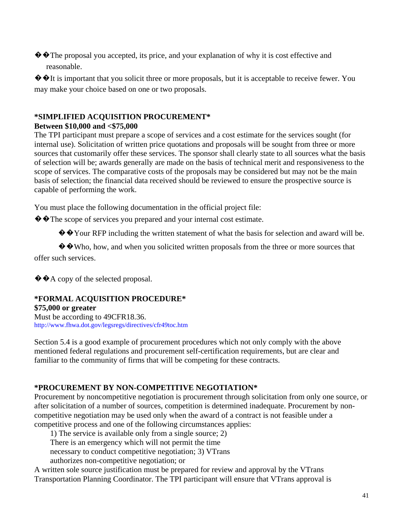$\lozenge$   $\lozenge$  The proposal you accepted, its price, and your explanation of why it is cost effective and reasonable.

 $\blacklozenge$   $\blacklozenge$  It is important that you solicit three or more proposals, but it is acceptable to receive fewer. You may make your choice based on one or two proposals.

## **\*SIMPLIFIED ACQUISITION PROCUREMENT\***

## **Between \$10,000 and <\$75,000**

The TPI participant must prepare a scope of services and a cost estimate for the services sought (for internal use). Solicitation of written price quotations and proposals will be sought from three or more sources that customarily offer these services. The sponsor shall clearly state to all sources what the basis of selection will be; awards generally are made on the basis of technical merit and responsiveness to the scope of services. The comparative costs of the proposals may be considered but may not be the main basis of selection; the financial data received should be reviewed to ensure the prospective source is capable of performing the work.

You must place the following documentation in the official project file:

 $\lozenge$   $\lozenge$  The scope of services you prepared and your internal cost estimate.

 $\diamond$   $\diamond$  Your RFP including the written statement of what the basis for selection and award will be.

��Who, how, and when you solicited written proposals from the three or more sources that offer such services.

**♦ ♦ A** copy of the selected proposal.

## **\*FORMAL ACQUISITION PROCEDURE\***

**\$75,000 or greater** 

Must be according to 49CFR18.36. http://www.fhwa.dot.gov/legsregs/directives/cfr49toc.htm

Section 5.4 is a good example of procurement procedures which not only comply with the above mentioned federal regulations and procurement self-certification requirements, but are clear and familiar to the community of firms that will be competing for these contracts.

## **\*PROCUREMENT BY NON-COMPETITIVE NEGOTIATION\***

Procurement by noncompetitive negotiation is procurement through solicitation from only one source, or after solicitation of a number of sources, competition is determined inadequate. Procurement by noncompetitive negotiation may be used only when the award of a contract is not feasible under a competitive process and one of the following circumstances applies:

1) The service is available only from a single source; 2) There is an emergency which will not permit the time

necessary to conduct competitive negotiation; 3) VTrans

authorizes non-competitive negotiation; or

A written sole source justification must be prepared for review and approval by the VTrans Transportation Planning Coordinator. The TPI participant will ensure that VTrans approval is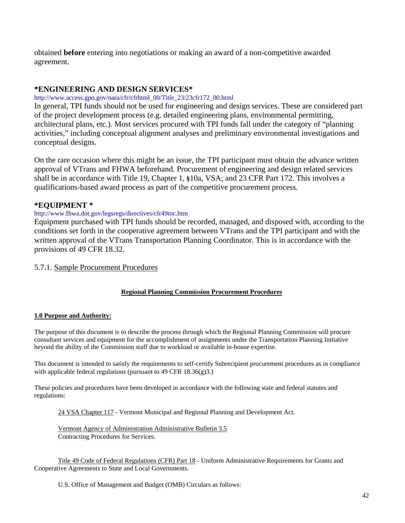obtained **before** entering into negotiations or making an award of a non-competitive awarded agreement.

### **\*ENGINEERING AND DESIGN SERVICES\***

### http://www.access.gpo.gov/nara/cfr/cfrhtml\_00/Title\_23/23cfr172\_00.html

In general, TPI funds should not be used for engineering and design services. These are considered part of the project development process (e.g. detailed engineering plans, environmental permitting, architectural plans, etc.). Most services procured with TPI funds fall under the category of "planning activities," including conceptual alignment analyses and preliminary environmental investigations and conceptual designs.

On the rare occasion where this might be an issue, the TPI participant must obtain the advance written approval of VTrans and FHWA beforehand. Procurement of engineering and design related services shall be in accordance with Title 19, Chapter 1, **§**10a, VSA; and 23 CFR Part 172. This involves a qualifications-based award process as part of the competitive procurement process.

### **\*EQUIPMENT \***

### http://www.fhwa.dot.gov/legsregs/directives/cfr49toc.htm

Equipment purchased with TPI funds should be recorded, managed, and disposed with, according to the conditions set forth in the cooperative agreement between VTrans and the TPI participant and with the written approval of the VTrans Transportation Planning Coordinator. This is in accordance with the provisions of 49 CFR 18.32.

### 5.7.1. Sample Procurement Procedures

### **Regional Planning Commission Procurement Procedures**

### **1.0 Purpose and Authority:**

The purpose of this document is to describe the process through which the Regional Planning Commission will procure consultant services and equipment for the accomplishment of assignments under the Transportation Planning Initiative beyond the ability of the Commission staff due to workload or available in-house expertise.

This document is intended to satisfy the requirements to self-certify Subrecipient procurement procedures as in compliance with applicable federal regulations (pursuant to 49 CFR 18.36(g)3.)

These policies and procedures have been developed in accordance with the following state and federal statutes and regulations:

24 VSA Chapter 117 - Vermont Municipal and Regional Planning and Development Act.

Vermont Agency of Administration Administrative Bulletin 3.5 Contracting Procedures for Services.

Title 49 Code of Federal Regulations (CFR) Part 18 - Uniform Administrative Requirements for Grants and Cooperative Agreements to State and Local Governments.

U.S. Office of Management and Budget (OMB) Circulars as follows: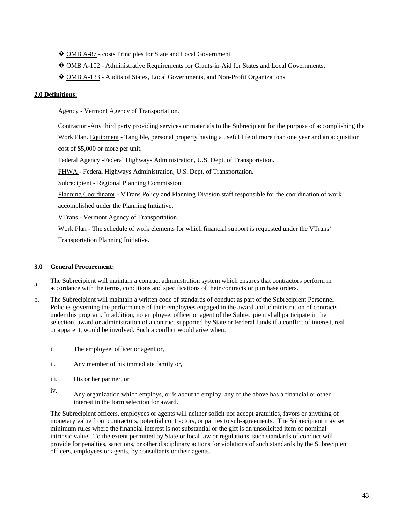- � OMB A-87 costs Principles for State and Local Government.
- � OMB A-102 Administrative Requirements for Grants-in-Aid for States and Local Governments.
- � OMB A-133 Audits of States, Local Governments, and Non-Profit Organizations

### **2.0 Definitions:**

Agency - Vermont Agency of Transportation.

Contractor -Any third party providing services or materials to the Subrecipient for the purpose of accomplishing the Work Plan. Equipment - Tangible, personal property having a useful life of more than one year and an acquisition cost of \$5,000 or more per unit.

Federal Agency -Federal Highways Administration, U.S. Dept. of Transportation.

FHWA - Federal Highways Administration, U.S. Dept. of Transportation.

Subrecipient - Regional Planning Commission.

Planning Coordinator - VTrans Policy and Planning Division staff responsible for the coordination of work

accomplished under the Planning Initiative.

VTrans - Vermont Agency of Transportation.

Work Plan - The schedule of work elements for which financial support is requested under the VTrans' Transportation Planning Initiative.

### **3.0 General Procurement:**

a. The Subrecipient will maintain a contract administration system which ensures that contractors perform in accordance with the terms, conditions and specifications of their contracts or purchase orders.

- b. The Subrecipient will maintain a written code of standards of conduct as part of the Subrecipient Personnel Policies governing the performance of their employees engaged in the award and administration of contracts under this program. In addition, no employee, officer or agent of the Subrecipient shall participate in the selection, award or administration of a contract supported by State or Federal funds if a conflict of interest, real or apparent, would be involved. Such a conflict would arise when:
	- i. The employee, officer or agent or,
	- ii. Any member of his immediate family or,
	- iii. His or her partner, or
	- iv. Any organization which employs, or is about to employ, any of the above has a financial or other interest in the form selection for award.

The Subrecipient officers, employees or agents will neither solicit nor accept gratuities, favors or anything of monetary value from contractors, potential contractors, or parties to sub-agreements. The Subrecipient may set minimum rules where the financial interest is not substantial or the gift is an unsolicited item of nominal intrinsic value. To the extent permitted by State or local law or regulations, such standards of conduct will provide for penalties, sanctions, or other disciplinary actions for violations of such standards by the Subrecipient officers, employees or agents, by consultants or their agents.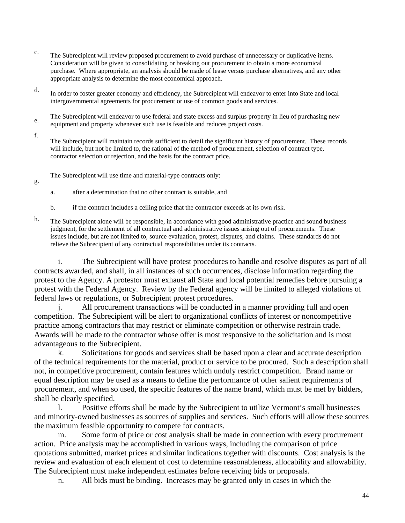- c. The Subrecipient will review proposed procurement to avoid purchase of unnecessary or duplicative items. Consideration will be given to consolidating or breaking out procurement to obtain a more economical purchase. Where appropriate, an analysis should be made of lease versus purchase alternatives, and any other appropriate analysis to determine the most economical approach.
- d. In order to foster greater economy and efficiency, the Subrecipient will endeavor to enter into State and local intergovernmental agreements for procurement or use of common goods and services.
- e. The Subrecipient will endeavor to use federal and state excess and surplus property in lieu of purchasing new equipment and property whenever such use is feasible and reduces project costs.
- f.

g.

The Subrecipient will maintain records sufficient to detail the significant history of procurement. These records will include, but not be limited to, the rational of the method of procurement, selection of contract type, contractor selection or rejection, and the basis for the contract price.

The Subrecipient will use time and material-type contracts only:

a. after a determination that no other contract is suitable, and

b. if the contract includes a ceiling price that the contractor exceeds at its own risk.

h. The Subrecipient alone will be responsible, in accordance with good administrative practice and sound business judgment, for the settlement of all contractual and administrative issues arising out of procurements. These issues include, but are not limited to, source evaluation, protest, disputes, and claims. These standards do not relieve the Subrecipient of any contractual responsibilities under its contracts.

i. The Subrecipient will have protest procedures to handle and resolve disputes as part of all contracts awarded, and shall, in all instances of such occurrences, disclose information regarding the protest to the Agency. A protestor must exhaust all State and local potential remedies before pursuing a protest with the Federal Agency. Review by the Federal agency will be limited to alleged violations of federal laws or regulations, or Subrecipient protest procedures.

j. All procurement transactions will be conducted in a manner providing full and open competition. The Subrecipient will be alert to organizational conflicts of interest or noncompetitive practice among contractors that may restrict or eliminate competition or otherwise restrain trade. Awards will be made to the contractor whose offer is most responsive to the solicitation and is most advantageous to the Subrecipient.

k. Solicitations for goods and services shall be based upon a clear and accurate description of the technical requirements for the material, product or service to be procured. Such a description shall not, in competitive procurement, contain features which unduly restrict competition. Brand name or equal description may be used as a means to define the performance of other salient requirements of procurement, and when so used, the specific features of the name brand, which must be met by bidders, shall be clearly specified.

l. Positive efforts shall be made by the Subrecipient to utilize Vermont's small businesses and minority-owned businesses as sources of supplies and services. Such efforts will allow these sources the maximum feasible opportunity to compete for contracts.

m. Some form of price or cost analysis shall be made in connection with every procurement action. Price analysis may be accomplished in various ways, including the comparison of price quotations submitted, market prices and similar indications together with discounts. Cost analysis is the review and evaluation of each element of cost to determine reasonableness, allocability and allowability. The Subrecipient must make independent estimates before receiving bids or proposals.

n. All bids must be binding. Increases may be granted only in cases in which the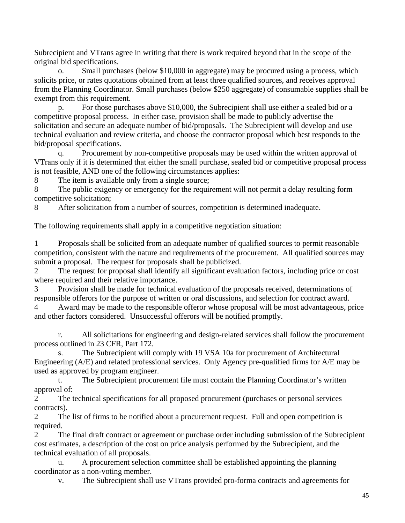Subrecipient and VTrans agree in writing that there is work required beyond that in the scope of the original bid specifications.

o. Small purchases (below \$10,000 in aggregate) may be procured using a process, which solicits price, or rates quotations obtained from at least three qualified sources, and receives approval from the Planning Coordinator. Small purchases (below \$250 aggregate) of consumable supplies shall be exempt from this requirement.

p. For those purchases above \$10,000, the Subrecipient shall use either a sealed bid or a competitive proposal process. In either case, provision shall be made to publicly advertise the solicitation and secure an adequate number of bid/proposals. The Subrecipient will develop and use technical evaluation and review criteria, and choose the contractor proposal which best responds to the bid/proposal specifications.

q. Procurement by non-competitive proposals may be used within the written approval of VTrans only if it is determined that either the small purchase, sealed bid or competitive proposal process is not feasible, AND one of the following circumstances applies:

8 The item is available only from a single source;

8 The public exigency or emergency for the requirement will not permit a delay resulting form competitive solicitation;

8 After solicitation from a number of sources, competition is determined inadequate.

The following requirements shall apply in a competitive negotiation situation:

1 Proposals shall be solicited from an adequate number of qualified sources to permit reasonable competition, consistent with the nature and requirements of the procurement. All qualified sources may submit a proposal. The request for proposals shall be publicized.

2 The request for proposal shall identify all significant evaluation factors, including price or cost where required and their relative importance.

Provision shall be made for technical evaluation of the proposals received, determinations of responsible offerors for the purpose of written or oral discussions, and selection for contract award.

4 Award may be made to the responsible offeror whose proposal will be most advantageous, price and other factors considered. Unsuccessful offerors will be notified promptly.

r. All solicitations for engineering and design-related services shall follow the procurement process outlined in 23 CFR, Part 172.

s. The Subrecipient will comply with 19 VSA 10a for procurement of Architectural Engineering (A/E) and related professional services. Only Agency pre-qualified firms for A/E may be used as approved by program engineer.

t. The Subrecipient procurement file must contain the Planning Coordinator's written approval of:

2 The technical specifications for all proposed procurement (purchases or personal services contracts).

2 The list of firms to be notified about a procurement request. Full and open competition is required.

2 The final draft contract or agreement or purchase order including submission of the Subrecipient cost estimates, a description of the cost on price analysis performed by the Subrecipient, and the technical evaluation of all proposals.

u. A procurement selection committee shall be established appointing the planning coordinator as a non-voting member.

v. The Subrecipient shall use VTrans provided pro-forma contracts and agreements for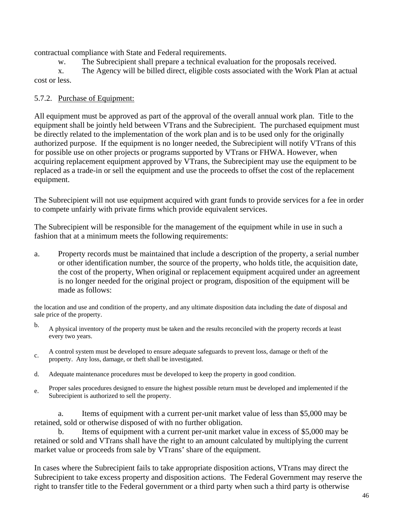contractual compliance with State and Federal requirements.

w. The Subrecipient shall prepare a technical evaluation for the proposals received.

x. The Agency will be billed direct, eligible costs associated with the Work Plan at actual cost or less.

## 5.7.2. Purchase of Equipment:

All equipment must be approved as part of the approval of the overall annual work plan. Title to the equipment shall be jointly held between VTrans and the Subrecipient. The purchased equipment must be directly related to the implementation of the work plan and is to be used only for the originally authorized purpose. If the equipment is no longer needed, the Subrecipient will notify VTrans of this for possible use on other projects or programs supported by VTrans or FHWA. However, when acquiring replacement equipment approved by VTrans, the Subrecipient may use the equipment to be replaced as a trade-in or sell the equipment and use the proceeds to offset the cost of the replacement equipment.

The Subrecipient will not use equipment acquired with grant funds to provide services for a fee in order to compete unfairly with private firms which provide equivalent services.

The Subrecipient will be responsible for the management of the equipment while in use in such a fashion that at a minimum meets the following requirements:

a. Property records must be maintained that include a description of the property, a serial number or other identification number, the source of the property, who holds title, the acquisition date, the cost of the property, When original or replacement equipment acquired under an agreement is no longer needed for the original project or program, disposition of the equipment will be made as follows:

the location and use and condition of the property, and any ultimate disposition data including the date of disposal and sale price of the property.

- b. A physical inventory of the property must be taken and the results reconciled with the property records at least every two years.
- c. A control system must be developed to ensure adequate safeguards to prevent loss, damage or theft of the property. Any loss, damage, or theft shall be investigated.
- d. Adequate maintenance procedures must be developed to keep the property in good condition.
- e. Proper sales procedures designed to ensure the highest possible return must be developed and implemented if the Subrecipient is authorized to sell the property.

a. Items of equipment with a current per-unit market value of less than \$5,000 may be retained, sold or otherwise disposed of with no further obligation.

b. Items of equipment with a current per-unit market value in excess of \$5,000 may be retained or sold and VTrans shall have the right to an amount calculated by multiplying the current market value or proceeds from sale by VTrans' share of the equipment.

In cases where the Subrecipient fails to take appropriate disposition actions, VTrans may direct the Subrecipient to take excess property and disposition actions. The Federal Government may reserve the right to transfer title to the Federal government or a third party when such a third party is otherwise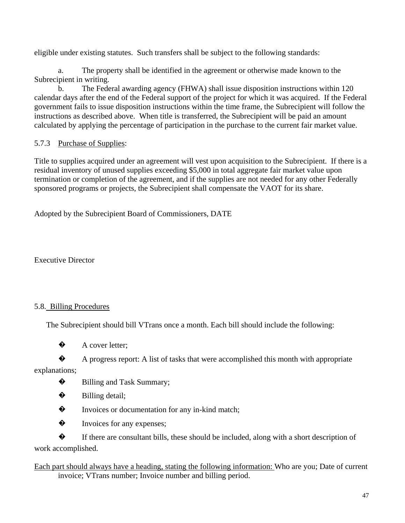eligible under existing statutes. Such transfers shall be subject to the following standards:

a. The property shall be identified in the agreement or otherwise made known to the Subrecipient in writing.

b. The Federal awarding agency (FHWA) shall issue disposition instructions within 120 calendar days after the end of the Federal support of the project for which it was acquired. If the Federal government fails to issue disposition instructions within the time frame, the Subrecipient will follow the instructions as described above. When title is transferred, the Subrecipient will be paid an amount calculated by applying the percentage of participation in the purchase to the current fair market value.

## 5.7.3 Purchase of Supplies:

Title to supplies acquired under an agreement will vest upon acquisition to the Subrecipient. If there is a residual inventory of unused supplies exceeding \$5,000 in total aggregate fair market value upon termination or completion of the agreement, and if the supplies are not needed for any other Federally sponsored programs or projects, the Subrecipient shall compensate the VAOT for its share.

Adopted by the Subrecipient Board of Commissioners, DATE

Executive Director

## 5.8. Billing Procedures

The Subrecipient should bill VTrans once a month. Each bill should include the following:

 $\bullet$  A cover letter;

 $\bullet$  A progress report: A list of tasks that were accomplished this month with appropriate explanations;

- $\bullet$  Billing and Task Summary;
- $\bullet$  Billing detail;
- $\bullet$  Invoices or documentation for any in-kind match;
- $\bullet$  Invoices for any expenses;

 $\bullet$  If there are consultant bills, these should be included, along with a short description of work accomplished.

Each part should always have a heading, stating the following information: Who are you; Date of current invoice; VTrans number; Invoice number and billing period.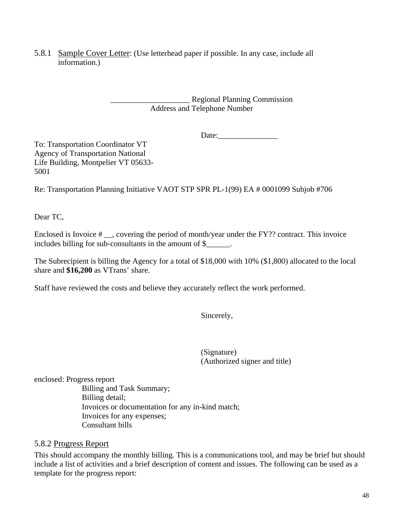5.8.1 Sample Cover Letter: (Use letterhead paper if possible. In any case, include all information.)

> Regional Planning Commission Address and Telephone Number

> > Date:

To: Transportation Coordinator VT Agency of Transportation National Life Building, Montpelier VT 05633- 5001

Re: Transportation Planning Initiative VAOT STP SPR PL-1(99) EA # 0001099 Subjob #706

Dear TC,

Enclosed is Invoice # \_\_, covering the period of month/year under the FY?? contract. This invoice includes billing for sub-consultants in the amount of \$\_\_\_\_\_\_.

The Subrecipient is billing the Agency for a total of \$18,000 with 10% (\$1,800) allocated to the local share and **\$16,200** as VTrans' share.

Staff have reviewed the costs and believe they accurately reflect the work performed.

Sincerely,

(Signature) (Authorized signer and title)

enclosed: Progress report

Billing and Task Summary; Billing detail; Invoices or documentation for any in-kind match; Invoices for any expenses; Consultant bills

### 5.8.2 Progress Report

This should accompany the monthly billing. This is a communications tool, and may be brief but should include a list of activities and a brief description of content and issues. The following can be used as a template for the progress report: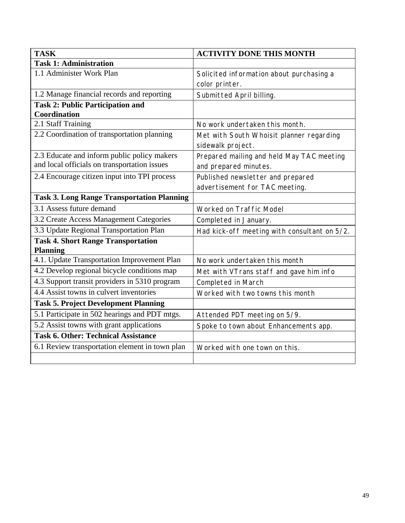| <b>TASK</b>                                       | <b>ACTIVITY DONE THIS MONTH</b>              |
|---------------------------------------------------|----------------------------------------------|
| <b>Task 1: Administration</b>                     |                                              |
| 1.1 Administer Work Plan                          | Solicited information about purchasing a     |
|                                                   | color printer.                               |
| 1.2 Manage financial records and reporting        | Submitted April billing.                     |
| <b>Task 2: Public Participation and</b>           |                                              |
| <b>Coordination</b>                               |                                              |
| 2.1 Staff Training                                | No work undertaken this month.               |
| 2.2 Coordination of transportation planning       | Met with South Whoisit planner regarding     |
|                                                   | sidewalk project.                            |
| 2.3 Educate and inform public policy makers       | Prepared mailing and held May TAC meeting    |
| and local officials on transportation issues      | and prepared minutes.                        |
| 2.4 Encourage citizen input into TPI process      | Published newsletter and prepared            |
|                                                   | advertisement for TAC meeting.               |
| <b>Task 3. Long Range Transportation Planning</b> |                                              |
| 3.1 Assess future demand                          | Worked on Traffic Model                      |
| 3.2 Create Access Management Categories           | Completed in January.                        |
| 3.3 Update Regional Transportation Plan           | Had kick-off meeting with consultant on 5/2. |
| <b>Task 4. Short Range Transportation</b>         |                                              |
| <b>Planning</b>                                   |                                              |
| 4.1. Update Transportation Improvement Plan       | No work undertaken this month                |
| 4.2 Develop regional bicycle conditions map       | Met with VTrans staff and gave him info      |
| 4.3 Support transit providers in 5310 program     | <b>Completed in March</b>                    |
| 4.4 Assist towns in culvert inventories           | Worked with two towns this month             |
| <b>Task 5. Project Development Planning</b>       |                                              |
| 5.1 Participate in 502 hearings and PDT mtgs.     | Attended PDT meeting on 5/9.                 |
| 5.2 Assist towns with grant applications          | Spoke to town about Enhancements app.        |
| <b>Task 6. Other: Technical Assistance</b>        |                                              |
| 6.1 Review transportation element in town plan    | Worked with one town on this.                |
|                                                   |                                              |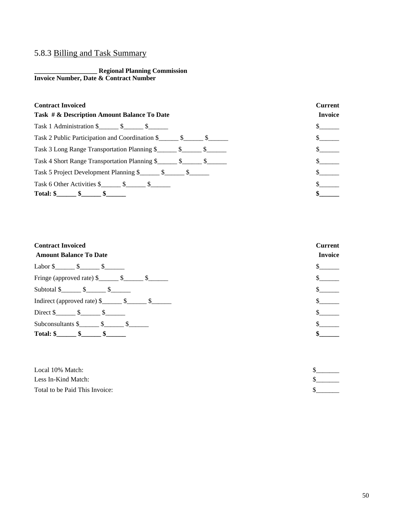## 5.8.3 Billing and Task Summary

**\_\_\_\_\_\_\_\_\_\_\_\_\_\_\_\_\_\_\_ Regional Planning Commission Invoice Number, Date & Contract Number** 

| <b>Contract Invoiced</b>                                                                                                                                                                                                                                                                                              | <b>Current</b> |
|-----------------------------------------------------------------------------------------------------------------------------------------------------------------------------------------------------------------------------------------------------------------------------------------------------------------------|----------------|
| Task # & Description Amount Balance To Date                                                                                                                                                                                                                                                                           | <b>Invoice</b> |
|                                                                                                                                                                                                                                                                                                                       | $\sim$         |
| Task 2 Public Participation and Coordination \$ ________ \$ ________ \$                                                                                                                                                                                                                                               | $\sim$         |
| Task 3 Long Range Transportation Planning \$ ________ \$ ________ \$                                                                                                                                                                                                                                                  | $\mathbb{S}$   |
|                                                                                                                                                                                                                                                                                                                       |                |
| Task 5 Project Development Planning \$ ________ \$ _______ \$                                                                                                                                                                                                                                                         | $\mathcal{S}$  |
| Task 6 Other Activities \$ \$ \$                                                                                                                                                                                                                                                                                      |                |
| Total: $\frac{1}{2}$ $\frac{1}{2}$ $\frac{1}{2}$ $\frac{1}{2}$ $\frac{1}{2}$ $\frac{1}{2}$ $\frac{1}{2}$ $\frac{1}{2}$ $\frac{1}{2}$ $\frac{1}{2}$ $\frac{1}{2}$ $\frac{1}{2}$ $\frac{1}{2}$ $\frac{1}{2}$ $\frac{1}{2}$ $\frac{1}{2}$ $\frac{1}{2}$ $\frac{1}{2}$ $\frac{1}{2}$ $\frac{1}{2}$ $\frac{1}{2}$ $\frac{$ |                |

| <b>Contract Invoiced</b>                                                                                                                                                                                                                                                                                                                    | <b>Current</b> |
|---------------------------------------------------------------------------------------------------------------------------------------------------------------------------------------------------------------------------------------------------------------------------------------------------------------------------------------------|----------------|
| <b>Amount Balance To Date</b>                                                                                                                                                                                                                                                                                                               | <b>Invoice</b> |
| Labor $\frac{\gamma}{\gamma}$ $\frac{\gamma}{\gamma}$                                                                                                                                                                                                                                                                                       |                |
| Fringe (approved rate) $\frac{\gamma_{\text{max}}}{\gamma_{\text{max}}}$ $\frac{\gamma_{\text{max}}}{\gamma_{\text{max}}}$                                                                                                                                                                                                                  |                |
| Subtotal $\frac{\mathcal{S}}{\mathcal{S}}$ $\frac{\mathcal{S}}{\mathcal{S}}$ $\frac{\mathcal{S}}{\mathcal{S}}$                                                                                                                                                                                                                              |                |
|                                                                                                                                                                                                                                                                                                                                             |                |
| Direct $\frac{\ }{2}$ $\frac{\ }{2}$ $\frac{\ }{2}$ $\frac{\ }{2}$ $\frac{\ }{2}$                                                                                                                                                                                                                                                           |                |
| Subconsultants $\frac{\gamma_1}{\gamma_2}$ $\frac{\gamma_2}{\gamma_3}$ $\frac{\gamma_1}{\gamma_2}$                                                                                                                                                                                                                                          |                |
| Total: $\frac{\ }{2}$ $\frac{\ }{2}$ $\frac{\ }{2}$ $\frac{\ }{2}$ $\frac{\ }{2}$ $\frac{\ }{2}$ $\frac{\ }{2}$ $\frac{\ }{2}$ $\frac{\ }{2}$ $\frac{\ }{2}$ $\frac{\ }{2}$ $\frac{\ }{2}$ $\frac{\ }{2}$ $\frac{\ }{2}$ $\frac{\ }{2}$ $\frac{\ }{2}$ $\frac{\ }{2}$ $\frac{\ }{2}$ $\frac{\ }{2}$ $\frac{\ }{2}$ $\frac{\ }{2}$ $\frac{\$ |                |
|                                                                                                                                                                                                                                                                                                                                             |                |

| Local 10% Match:               |  |
|--------------------------------|--|
| Less In-Kind Match:            |  |
| Total to be Paid This Invoice: |  |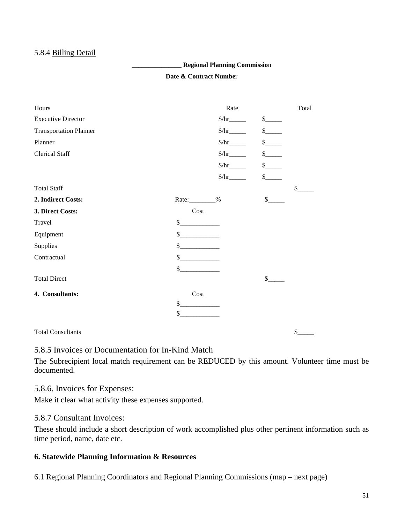### 5.8.4 Billing Detail

### **\_\_\_\_\_\_\_\_\_\_\_\_\_\_\_ Regional Planning Commissio**n

### **Date & Contract Numbe**r

| Hours                         | Rate                                      |                    | Total        |
|-------------------------------|-------------------------------------------|--------------------|--------------|
| <b>Executive Director</b>     | $\frac{\sqrt{hr_{\frac{1}{2}}}}{1}$       | s                  |              |
| <b>Transportation Planner</b> | $\frac{\sqrt{hr_{\frac{1}{2}}}}{h}$       | s                  |              |
| Planner                       | $\frac{\sqrt{hr_{\frac{1}{2}}}}{h}$       |                    |              |
| <b>Clerical Staff</b>         | $\frac{\sqrt{hr_{\frac{1}{2}}}}{1}$       | s                  |              |
|                               | $\frac{\sqrt{hr_{max}}}{\sqrt{hr_{max}}}$ | s                  |              |
|                               | $\frac{\sqrt{hr_{\frac{1}{2}}}}{h}$       | $s$ <sub>___</sub> |              |
| <b>Total Staff</b>            |                                           |                    | $\mathbb{S}$ |
| 2. Indirect Costs:            | Rate: _________%                          | $\mathbb{S}^-$     |              |
| 3. Direct Costs:              | Cost                                      |                    |              |
| Travel                        | \$                                        |                    |              |
| Equipment                     | \$                                        |                    |              |
| Supplies                      | \$                                        |                    |              |
| Contractual                   | \$                                        |                    |              |
|                               | \$                                        |                    |              |
| <b>Total Direct</b>           |                                           | \$                 |              |
| 4. Consultants:               | Cost                                      |                    |              |
|                               | \$                                        |                    |              |
|                               | \$                                        |                    |              |
| <b>Total Consultants</b>      |                                           |                    | \$           |

## 5.8.5 Invoices or Documentation for In-Kind Match

The Subrecipient local match requirement can be REDUCED by this amount. Volunteer time must be documented.

## 5.8.6. Invoices for Expenses:

Make it clear what activity these expenses supported.

### 5.8.7 Consultant Invoices:

These should include a short description of work accomplished plus other pertinent information such as time period, name, date etc.

### **6. Statewide Planning Information & Resources**

6.1 Regional Planning Coordinators and Regional Planning Commissions (map – next page)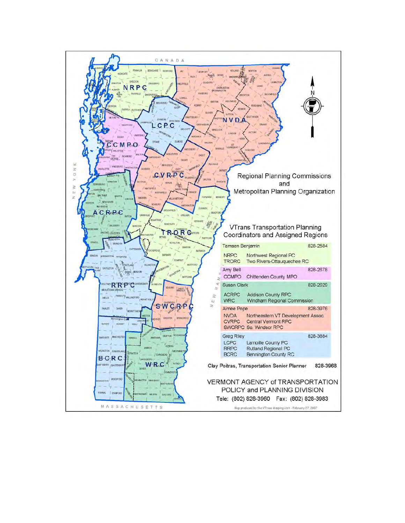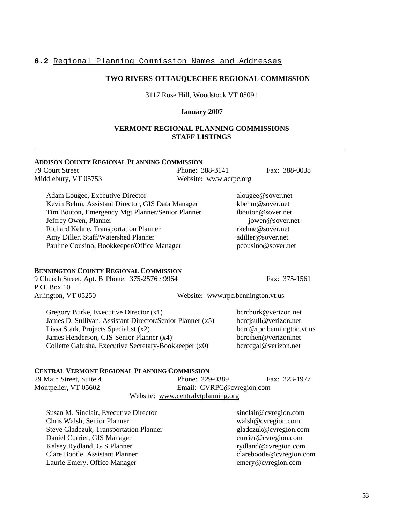### **6.2** Regional Planning Commission Names and Addresses

### **TWO RIVERS-OTTAUQUECHEE REGIONAL COMMISSION**

3117 Rose Hill, Woodstock VT 05091

### **January 2007**

### **VERMONT REGIONAL PLANNING COMMISSIONS STAFF LISTINGS**

| <b>ADDISON COUNTY REGIONAL PLANNING COMMISSION</b>                                                                                                                                                                                                                                             |                                    |                                                                                                                                             |
|------------------------------------------------------------------------------------------------------------------------------------------------------------------------------------------------------------------------------------------------------------------------------------------------|------------------------------------|---------------------------------------------------------------------------------------------------------------------------------------------|
| 79 Court Street                                                                                                                                                                                                                                                                                | Phone: 388-3141                    | Fax: 388-0038                                                                                                                               |
| Middlebury, VT 05753                                                                                                                                                                                                                                                                           | Website: www.acrpc.org             |                                                                                                                                             |
| Adam Lougee, Executive Director<br>Kevin Behm, Assistant Director, GIS Data Manager<br>Tim Bouton, Emergency Mgt Planner/Senior Planner<br>Jeffrey Owen, Planner<br>Richard Kehne, Transportation Planner<br>Amy Diller, Staff/Watershed Planner<br>Pauline Cousino, Bookkeeper/Office Manager |                                    | alougee@sover.net<br>kbehm@sover.net<br>tbouton@sover.net<br>jowen@sover.net<br>rkehne@sover.net<br>adiller@sover.net<br>pcousino@sover.net |
| <b>BENNINGTON COUNTY REGIONAL COMMISSION</b><br>9 Church Street, Apt. B Phone: 375-2576 / 9964<br>P.O. Box 10<br>Arlington, VT 05250                                                                                                                                                           | Website: www.rpc.bennington.vt.us  | Fax: 375-1561                                                                                                                               |
|                                                                                                                                                                                                                                                                                                |                                    |                                                                                                                                             |
| Gregory Burke, Executive Director (x1)<br>James D. Sullivan, Assistant Director/Senior Planner (x5)<br>Lissa Stark, Projects Specialist (x2)<br>James Henderson, GIS-Senior Planner (x4)<br>Collette Galusha, Executive Secretary-Bookkeeper (x0)                                              |                                    | bcrcburk@verizon.net<br>bcrcjsull@verizon.net<br>bcrc@rpc.bennington.vt.us<br>bcrcjhen@verizon.net<br>bcrccgal@verizon.net                  |
| <b>CENTRAL VERMONT REGIONAL PLANNING COMMISSION</b>                                                                                                                                                                                                                                            |                                    |                                                                                                                                             |
| 29 Main Street, Suite 4                                                                                                                                                                                                                                                                        | Phone: 229-0389                    | Fax: 223-1977                                                                                                                               |
| Montpelier, VT 05602                                                                                                                                                                                                                                                                           | Email: CVRPC@cvregion.com          |                                                                                                                                             |
|                                                                                                                                                                                                                                                                                                | Website: www.centralvtplanning.org |                                                                                                                                             |

Susan M. Sinclair, Executive Director sinclair@cvregion.com Chris Walsh, Senior Planner walsh@cvregion.com Steve Gladczuk, Transportation Planner gladczuk@cvregion.com<br>
Daniel Currier, GIS Manager currier@cvregion.com Daniel Currier, GIS Manager<br>
Kelsey Rydland, GIS Planner<br>
Tydland@cvregion.com Kelsey Rydland, GIS Planner rydland@cvregion.com<br>
Clare Bootle, Assistant Planner clare bootle@cvregion.com Clare Bootle, Assistant Planner clarebootle@cvregion.<br>
Laurie Emery, Office Manager emery@cvregion.com Laurie Emery, Office Manager

l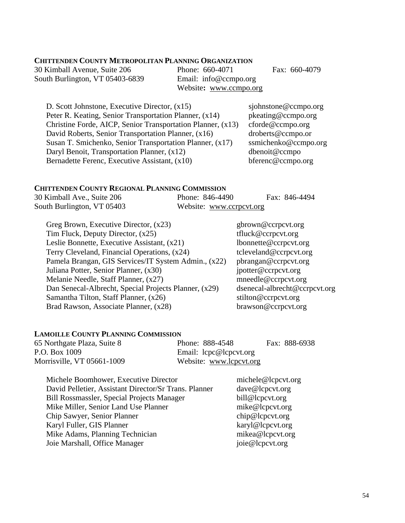### **CHITTENDEN COUNTY METROPOLITAN PLANNING ORGANIZATION**

30 Kimball Avenue, Suite 206 Phone: 660-4071 Fax: 660-4079<br>South Burlington, VT 05403-6839 Email: info@ccmpo.org South Burlington, VT 05403-6839

Website**:** www.ccmpo.org

| D. Scott Johnstone, Executive Director, $(x15)$             | sjohnstone@ccmpo.org      |
|-------------------------------------------------------------|---------------------------|
| Peter R. Keating, Senior Transportation Planner, (x14)      | pkeating@ccmpo.org        |
| Christine Forde, AICP, Senior Transportation Planner, (x13) | $c$ for de @ $c$ cmpo.org |
| David Roberts, Senior Transportation Planner, (x16)         | droberts@ccmpo.or         |
| Susan T. Smichenko, Senior Transportation Planner, (x17)    | ssmichenko@ccmpo.org      |
| Daryl Benoit, Transportation Planner, (x12)                 | dbenoit@ccmpo             |
| Bernadette Ferenc, Executive Assistant, (x10)               | bferenc@ccmpo.org         |

### **CHITTENDEN COUNTY REGIONAL PLANNING COMMISSION**

| 30 Kimball Ave., Suite 206 | Phone: 846-4490          | Fax: 846-4494 |
|----------------------------|--------------------------|---------------|
| South Burlington, VT 05403 | Website: www.ccrpcvt.org |               |

| Greg Brown, Executive Director, (x23)                 | gbrown@ccrpcvt.org            |
|-------------------------------------------------------|-------------------------------|
| Tim Fluck, Deputy Director, (x25)                     | tfluck@ccrpcvt.org            |
| Leslie Bonnette, Executive Assistant, $(x21)$         | $l$ bonnette@ccrpcvt.org      |
| Terry Cleveland, Financial Operations, (x24)          | tcleveland@ccrpcvt.org        |
| Pamela Brangan, GIS Services/IT System Admin., (x22)  | pbrangan@ccrpcvt.org          |
| Juliana Potter, Senior Planner, (x30)                 | ipotter@ccrpcvt.org           |
| Melanie Needle, Staff Planner, (x27)                  | mneedle@corpcvt.org           |
| Dan Senecal-Albrecht, Special Projects Planner, (x29) | dsenecal-albrecht@ccrpcvt.org |
| Samantha Tilton, Staff Planner, (x26)                 | stilton@ccrpcvt.org           |
| Brad Rawson, Associate Planner, (x28)                 | brawson@ccrpcvt.org           |
|                                                       |                               |

### **LAMOILLE COUNTY PLANNING COMMISSION**

| 65 Northgate Plaza, Suite 8 | Phone: 888-4548         | Fax: 888-6938 |
|-----------------------------|-------------------------|---------------|
| P.O. Box 1009               | Email: lcpc@lcpcvt.org  |               |
| Morrisville, VT 05661-1009  | Website: www.lcpcvt.org |               |

| Michele Boomhower, Executive Director                 | michele@lepcvt.org |
|-------------------------------------------------------|--------------------|
| David Pelletier, Assistant Director/Sr Trans. Planner | dave@lcpcvt.org    |
| <b>Bill Rossmassler, Special Projects Manager</b>     | bill@lcpcvt.org    |
| Mike Miller, Senior Land Use Planner                  | mike@lcpcvt.org    |
| Chip Sawyer, Senior Planner                           | chip@lcpcvt.org    |
| Karyl Fuller, GIS Planner                             | karyl@lcpcvt.org   |
| Mike Adams, Planning Technician                       | mikea@lcpcvt.org   |
| Joie Marshall, Office Manager                         | joie@lcpcvt.org    |
|                                                       |                    |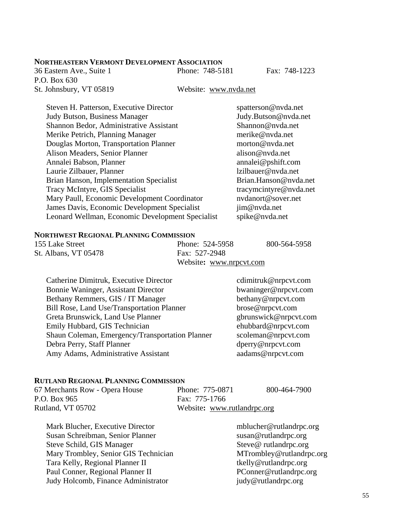### **NORTHEASTERN VERMONT DEVELOPMENT ASSOCIATION**

36 Eastern Ave., Suite 1 Phone: 748-5181 Fax: 748-1223 P.O. Box 630 St. Johnsbury, VT 05819 Website: www.nvda.net

| Steven H. Patterson, Executive Director          | spatterson@nvda.net    |
|--------------------------------------------------|------------------------|
| <b>Judy Butson, Business Manager</b>             | Judy.Butson@nvda.net   |
| Shannon Bedor, Administrative Assistant          | Shannon@nvda.net       |
| Merike Petrich, Planning Manager                 | merike@nvda.net        |
| Douglas Morton, Transportation Planner           | morton@nyda.net        |
| Alison Meaders, Senior Planner                   | alison@nvda.net        |
| Annalei Babson, Planner                          | annalei@pshift.com     |
| Laurie Zilbauer, Planner                         | lzilbauer@nvda.net     |
| Brian Hanson, Implementation Specialist          | Brian.Hanson@nvda.net  |
| Tracy McIntyre, GIS Specialist                   | tracymcintyre@nvda.net |
| Mary Paull, Economic Development Coordinator     | nvdanort@sover.net     |
| James Davis, Economic Development Specialist     | jim@nvda.net           |
| Leonard Wellman, Economic Development Specialist | spike@nvda.net         |
|                                                  |                        |

### **NORTHWEST REGIONAL PLANNING COMMISSION**

| 155 Lake Street      | Phone: 524-5958         | 800-564-5958 |
|----------------------|-------------------------|--------------|
| St. Albans, VT 05478 | Fax: 527-2948           |              |
|                      | Website: www.nrpcvt.com |              |

| Catherine Dimitruk, Executive Director          | cdimitruk@nrpcvt.com  |
|-------------------------------------------------|-----------------------|
| Bonnie Waninger, Assistant Director             | bwaninger@nrpcvt.com  |
| Bethany Remmers, GIS / IT Manager               | bethany@nrpcvt.com    |
| Bill Rose, Land Use/Transportation Planner      | brose@nrpcvt.com      |
| Greta Brunswick, Land Use Planner               | gbrunswick@nrpcvt.com |
| Emily Hubbard, GIS Technician                   | ehubbard@nrpcvt.com   |
| Shaun Coleman, Emergency/Transportation Planner | scoleman@nrpcvt.com   |
| Debra Perry, Staff Planner                      | dperry@nrpcvt.com     |
| Amy Adams, Administrative Assistant             | aadams@nrpcvt.com     |

### **RUTLAND REGIONAL PLANNING COMMISSION**

| 67 Merchants Row - Opera House |  |
|--------------------------------|--|
| P.O. Box 965                   |  |
| Rutland, VT 05702              |  |

Phone: 775-0871 800-464-7900 Fax: 775-1766 Website: www.rutlandrpc.org

Mark Blucher, Executive Director mblucher@rutlandrpc.org Susan Schreibman, Senior Planner susan@rutlandrpc.org Steve Schild, GIS Manager Steve @ rutlandrpc.org Mary Trombley, Senior GIS Technician MTrombley@rutlandrpc.org Tara Kelly, Regional Planner II tkelly@rutlandrpc.org Paul Conner, Regional Planner II PConner@rutlandrpc.org Judy Holcomb, Finance Administrator judy@rutlandrpc.org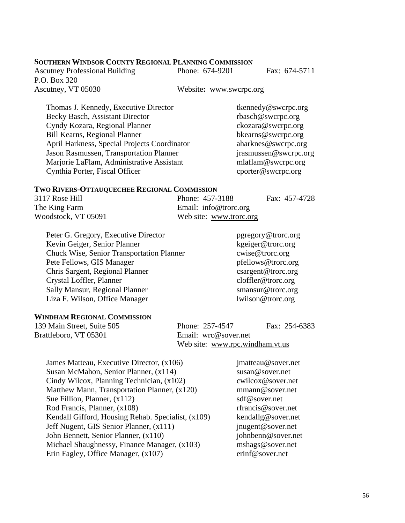### **SOUTHERN WINDSOR COUNTY REGIONAL PLANNING COMMISSION**

Ascutney Professional Building Phone: 674-9201 Fax: 674-5711 P.O. Box 320 Ascutney, VT 05030 Website**:** www.swcrpc.org

 Thomas J. Kennedy, Executive Director tkennedy@swcrpc.org Becky Basch, Assistant Director rbasch@swcrpc.org Cyndy Kozara, Regional Planner ckozara@swcrpc.org Bill Kearns, Regional Planner bkearns@swcrpc.org April Harkness, Special Projects Coordinator aharknes@swcrpc.org Jason Rasmussen, Transportation Planner jrasmussen@swcrpc.org<br>
Mariorie LaFlam, Administrative Assistant mlaflam@swcrpc.org Marjorie LaFlam, Administrative Assistant Cynthia Porter, Fiscal Officer cporter@swcrpc.org

### **TWO RIVERS-OTTAUQUECHEE REGIONAL COMMISSION**

3117 Rose Hill Phone: 457-3188 Fax: 457-4728 The King Farm Email: info@trorc.org Woodstock, VT 05091 Web site: www.trorc.org

Peter G. Gregory, Executive Director pgregory@trorc.org Kevin Geiger, Senior Planner kgeiger@trorc.org Chuck Wise, Senior Transportation Planner cwise@trorc.org Pete Fellows, GIS Manager pfellows@trorc.org Chris Sargent, Regional Planner csargent@trorc.org Crystal Loffler, Planner clots and clots and clots contained the clots of clots and clots contained clots and clots and clots are clots and clots are clots and clots are clots and clots are clots and clots are clots and cl Sally Mansur, Regional Planner smansur@trorc.org Liza F. Wilson, Office Manager lwilson @trorc.org

### **WINDHAM REGIONAL COMMISSION**

Brattleboro, VT 05301 Email: wrc@sover.net

139 Main Street, Suite 505 Phone: 257-4547 Fax: 254-6383 Web site: www.rpc.windham.vt.us

James Matteau, Executive Director, (x106) imatteau@sover.net Susan McMahon, Senior Planner, (x114) susan@sover.net Cindy Wilcox, Planning Technician, (x102) cwilcox@sover.net Matthew Mann, Transportation Planner, (x120) mmann@sover.net Sue Fillion, Planner, (x112) sdf@sover.net Rod Francis, Planner, (x108) rfrancis@sover.net Kendall Gifford, Housing Rehab. Specialist, (x109) kendallg@sover.net Jeff Nugent, GIS Senior Planner, (x111) jnugent@sover.net John Bennett, Senior Planner, (x110) johnbenn@sover.net Michael Shaughnessy, Finance Manager, (x103) mshags@sover.net Erin Fagley, Office Manager, (x107) erinf@sover.net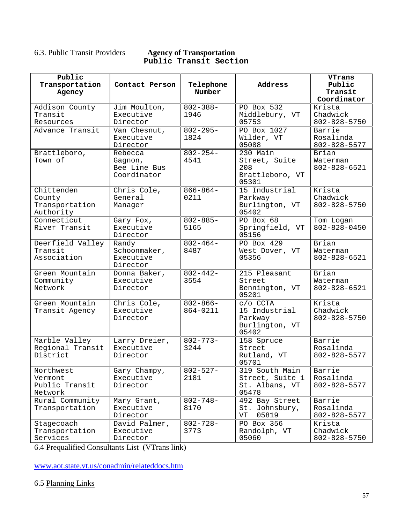### 6.3. Public Transit Providers **Agency of Transportation Public Transit Section**

| Public<br>Transportation<br>Agency                  | Contact Person                                    | Telephone<br>Number       | Address                                                         | <b>VTrans</b><br>Public<br>Transit<br>Coordinator |
|-----------------------------------------------------|---------------------------------------------------|---------------------------|-----------------------------------------------------------------|---------------------------------------------------|
| Addison County<br>Transit<br>Resources              | Jim Moulton,<br>Executive<br>Director             | $802 - 388 -$<br>1946     | PO Box 532<br>Middlebury, VT<br>05753                           | Krista<br>Chadwick<br>$802 - 828 - 5750$          |
| Advance Transit                                     | Van Chesnut,<br>Executive<br>Director             | $802 - 295 -$<br>1824     | PO Box 1027<br>Wilder, VT<br>05088                              | Barrie<br>Rosalinda<br>$802 - 828 - 5577$         |
| Brattleboro,<br>Town of                             | Rebecca<br>Gagnon,<br>Bee Line Bus<br>Coordinator | $802 - 254 -$<br>4541     | 230 Main<br>Street, Suite<br>208<br>Brattleboro, VT<br>05301    | Brian<br>Waterman<br>$802 - 828 - 6521$           |
| Chittenden<br>County<br>Transportation<br>Authority | Chris Cole,<br>General<br>Manager                 | $866 - 864 -$<br>0211     | 15 Industrial<br>Parkway<br>Burlington, VT<br>05402             | Krista<br>Chadwick<br>$802 - 828 - 5750$          |
| Connecticut<br>River Transit                        | Gary Fox,<br>Executive<br>Director                | $802 - 885 -$<br>5165     | PO Box $\overline{68}$<br>Springfield, VT<br>05156              | Tom Logan<br>$802 - 828 - 0450$                   |
| Deerfield Valley<br>Transit<br>Association          | Randy<br>Schoonmaker,<br>Executive<br>Director    | $802 - 464 -$<br>8487     | PO Box 429<br>West Dover, VT<br>05356                           | Brian<br>Waterman<br>802-828-6521                 |
| Green Mountain<br>Community<br>Network              | Donna Baker,<br>Executive<br>Director             | $802 - 442 -$<br>3554     | 215 Pleasant<br>Street<br>Bennington, VT<br>05201               | Brian<br>Waterman<br>802-828-6521                 |
| Green Mountain<br>Transit Agency                    | Chris Cole,<br>Executive<br>Director              | $802 - 866 -$<br>864-0211 | c/o CCTA<br>15 Industrial<br>Parkway<br>Burlington, VT<br>05402 | Krista<br>Chadwick<br>$802 - 828 - 5750$          |
| Marble Valley<br>Regional Transit<br>District       | Larry Dreier,<br>Executive<br>Director            | $802 - 773 -$<br>3244     | 158 Spruce<br>Street<br>Rutland, VT<br>05701                    | Barrie<br>Rosalinda<br>802-828-5577               |
| Northwest<br>Vermont<br>Public Transit<br>Network   | Gary Champy,<br>Executive<br>Director             | $802 - 527 -$<br>2181     | 319 South Main<br>Street, Suite 1<br>St. Albans, VT<br>05478    | Barrie<br>Rosalinda<br>802-828-5577               |
| Rural Community<br>Transportation                   | Mary Grant,<br>Executive<br>Director              | $802 - 748 -$<br>8170     | 492 Bay Street<br>St. Johnsbury,<br>05819<br>VT                 | Barrie<br>Rosalinda<br>802-828-5577               |
| Stagecoach<br>Transportation<br>Services            | David Palmer,<br>Executive<br>Director            | $802 - 728 -$<br>3773     | PO Box 356<br>Randolph, VT<br>05060                             | Krista<br>Chadwick<br>$802 - 828 - 5750$          |

6.4 Prequalified Consultants List (VTrans link)

www.aot.state.vt.us/conadmin/relateddocs.htm

6.5 Planning Links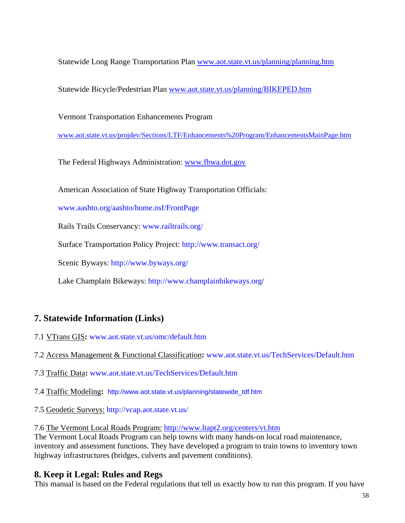Statewide Long Range Transportation Plan www.aot.state.vt.us/planning/planning.htm

Statewide Bicycle/Pedestrian Plan www.aot.state.vt.us/planning/BIKEPED.htm

Vermont Transportation Enhancements Program

www.aot.state.vt.us/projdev/Sections/LTF/Enhancements%20Program/EnhancementsMainPage.htm

The Federal Highways Administration: www.fhwa.dot.gov

American Association of State Highway Transportation Officials:

www.aashto.org/aashto/home.nsf/FrontPage

Rails Trails Conservancy: www.railtrails.org/

Surface Transportation Policy Project: http://www.transact.org/

Scenic Byways: http://www.byways.org/

Lake Champlain Bikeways: http://www.champlainbikeways.org/

## **7. Statewide Information (Links)**

- 7.1 VTrans GIS**:** www.aot.state.vt.us/omc/default.htm
- 7.2 Access Management & Functional Classification**:** www.aot.state.vt.us/TechServices/Default.htm
- 7.3 Traffic Data**:** www.aot.state.vt.us/TechServices/Default.htm
- 7.4 Traffic Modeling**:** http://www.aot.state.vt.us/planning/statewide\_tdf.htm
- 7.5 Geodetic Surveys: http://vcap.aot.state.vt.us/

7.6 The Vermont Local Roads Program: http://www.ltapt2.org/centers/vt.htm

The Vermont Local Roads Program can help towns with many hands-on local road maintenance, inventory and assessment functions. They have developed a program to train towns to inventory town highway infrastructures (bridges, culverts and pavement conditions).

## **8. Keep it Legal: Rules and Regs**

This manual is based on the Federal regulations that tell us exactly how to run this program. If you have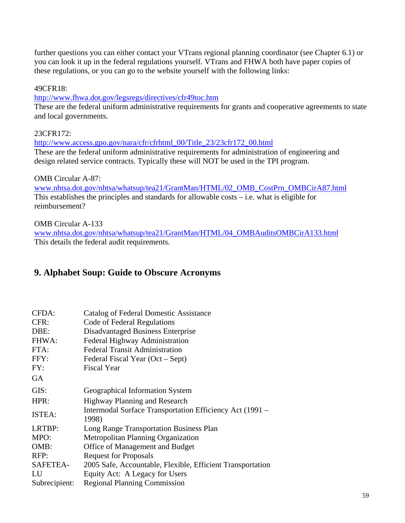further questions you can either contact your VTrans regional planning coordinator (see Chapter 6.1) or you can look it up in the federal regulations yourself. VTrans and FHWA both have paper copies of these regulations, or you can go to the website yourself with the following links:

### 49CFR18:

http://www.fhwa.dot.gov/legsregs/directives/cfr49toc.htm

These are the federal uniform administrative requirements for grants and cooperative agreements to state and local governments.

23CFR172:

http://www.access.gpo.gov/nara/cfr/cfrhtml\_00/Title\_23/23cfr172\_00.html These are the federal uniform administrative requirements for administration of engineering and design related service contracts. Typically these will NOT be used in the TPI program.

## OMB Circular A-87:

www.nhtsa.dot.gov/nhtsa/whatsup/tea21/GrantMan/HTML/02\_OMB\_CostPrn\_OMBCirA87.html This establishes the principles and standards for allowable costs – i.e. what is eligible for reimbursement?

## OMB Circular A-133

www.nhtsa.dot.gov/nhtsa/whatsup/tea21/GrantMan/HTML/04\_OMBAuditsOMBCirA133.html This details the federal audit requirements.

## **9. Alphabet Soup: Guide to Obscure Acronyms**

| CFDA:         | Catalog of Federal Domestic Assistance                            |
|---------------|-------------------------------------------------------------------|
| CFR:          | Code of Federal Regulations                                       |
| DBE:          | Disadvantaged Business Enterprise                                 |
| FHWA:         | Federal Highway Administration                                    |
| FTA:          | <b>Federal Transit Administration</b>                             |
| FFY:          | Federal Fiscal Year (Oct – Sept)                                  |
| FY:           | <b>Fiscal Year</b>                                                |
| <b>GA</b>     |                                                                   |
| GIS:          | Geographical Information System                                   |
| HPR:          | <b>Highway Planning and Research</b>                              |
| ISTEA:        | Intermodal Surface Transportation Efficiency Act (1991 –<br>1998) |
| LRTBP:        | Long Range Transportation Business Plan                           |
| MPO:          | <b>Metropolitan Planning Organization</b>                         |
| OMB:          | Office of Management and Budget                                   |
| RFP:          | <b>Request for Proposals</b>                                      |
| SAFETEA-      | 2005 Safe, Accountable, Flexible, Efficient Transportation        |
| LU            | Equity Act: A Legacy for Users                                    |
| Subrecipient: | <b>Regional Planning Commission</b>                               |